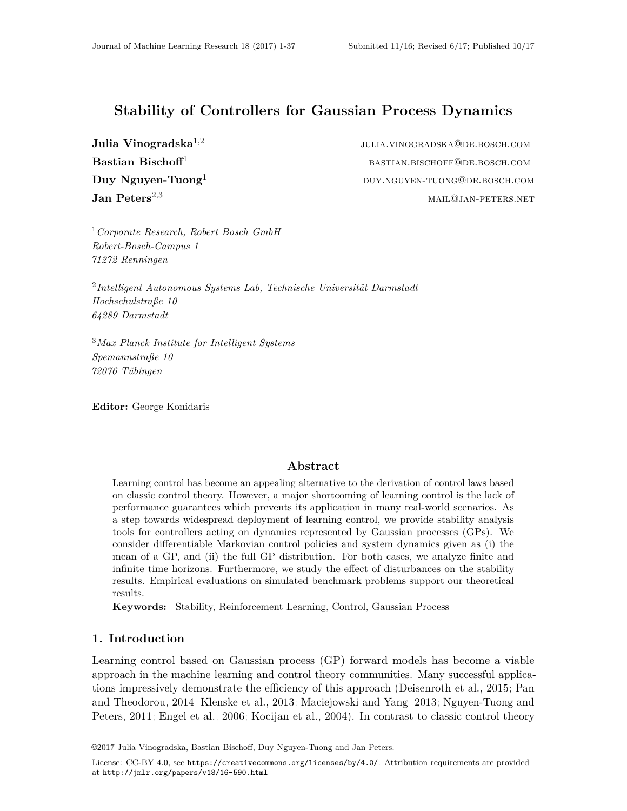# **Stability of Controllers for Gaussian Process Dynamics**

**Julia Vinogradska**1*,*<sup>2</sup>

julia.vinogradska@de.bosch.com **Bastian Bischoff**<sup>1</sup> bastian.bischoff<sup>2</sup> bastian.bischoff@de.bosch.com **Duy Nguyen-Tuong**<sup>1</sup> dust buy.nguyen-tuong@de.bosch.com **Jan Peters**2*,*<sup>3</sup> mail@jan-peters.net

<sup>1</sup>*Corporate Research, Robert Bosch GmbH Robert-Bosch-Campus 1 71272 Renningen*

<sup>2</sup> Intelligent Autonomous Systems Lab, Technische Universität Darmstadt *Hochschulstraße 10 64289 Darmstadt*

<sup>3</sup>*Max Planck Institute for Intelligent Systems Spemannstraße 10 72076 T¨ubingen*

**Editor:** George Konidaris

## **Abstract**

Learning control has become an appealing alternative to the derivation of control laws based on classic control theory. However, a major shortcoming of learning control is the lack of performance guarantees which prevents its application in many real-world scenarios. As a step towards widespread deployment of learning control, we provide stability analysis tools for controllers acting on dynamics represented by Gaussian processes (GPs). We consider differentiable Markovian control policies and system dynamics given as (i) the mean of a GP, and (ii) the full GP distribution. For both cases, we analyze finite and infinite time horizons. Furthermore, we study the effect of disturbances on the stability results. Empirical evaluations on simulated benchmark problems support our theoretical results.

**Keywords:** Stability, Reinforcement Learning, Control, Gaussian Process

# **1. Introduction**

Learning control based on Gaussian process (GP) forward models has become a viable approach in the machine learning and control theory communities. Many successful applications impressively demonstrate the efficiency of this approach [\(Deisenroth et al., 2015;](#page-33-0) [Pan](#page-35-0) [and Theodorou, 2014;](#page-35-0) [Klenske et al., 2013;](#page-34-0) [Maciejowski and Yang, 2013;](#page-34-1) [Nguyen-Tuong and](#page-35-1) [Peters, 2011;](#page-35-1) [Engel et al., 2006;](#page-33-1) [Kocijan et al., 2004\)](#page-34-2). In contrast to classic control theory

<sup>©2017</sup> Julia Vinogradska, Bastian Bischoff, Duy Nguyen-Tuong and Jan Peters.

License: CC-BY 4.0, see <https://creativecommons.org/licenses/by/4.0/>. Attribution requirements are provided at <http://jmlr.org/papers/v18/16-590.html>.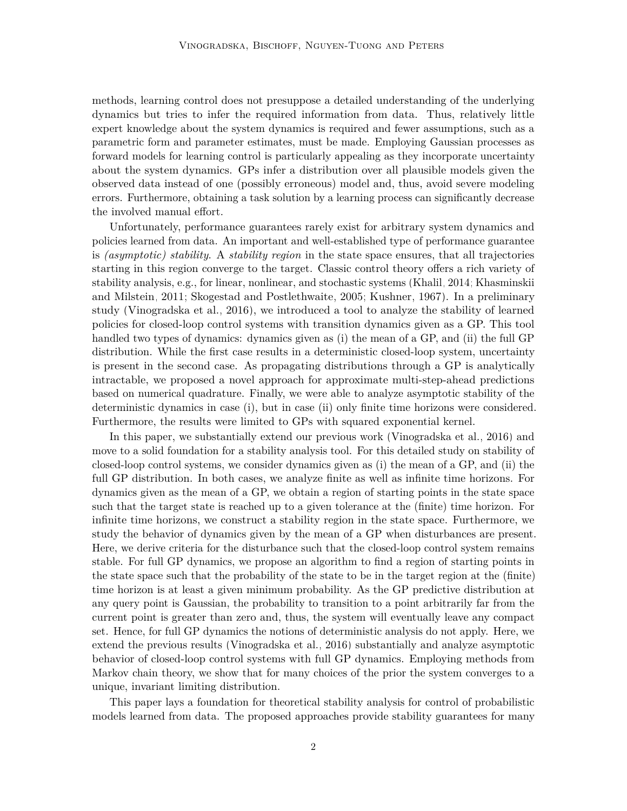methods, learning control does not presuppose a detailed understanding of the underlying dynamics but tries to infer the required information from data. Thus, relatively little expert knowledge about the system dynamics is required and fewer assumptions, such as a parametric form and parameter estimates, must be made. Employing Gaussian processes as forward models for learning control is particularly appealing as they incorporate uncertainty about the system dynamics. GPs infer a distribution over all plausible models given the observed data instead of one (possibly erroneous) model and, thus, avoid severe modeling errors. Furthermore, obtaining a task solution by a learning process can significantly decrease the involved manual effort.

Unfortunately, performance guarantees rarely exist for arbitrary system dynamics and policies learned from data. An important and well-established type of performance guarantee is *(asymptotic) stability*. A *stability region* in the state space ensures, that all trajectories starting in this region converge to the target. Classic control theory offers a rich variety of stability analysis, e.g., for linear, nonlinear, and stochastic systems [\(Khalil, 2014;](#page-34-3) [Khasminskii](#page-34-4) [and Milstein, 2011;](#page-34-4) [Skogestad and Postlethwaite, 2005;](#page-35-2) [Kushner, 1967\)](#page-34-5). In a preliminary study [\(Vinogradska et al., 2016\)](#page-36-0), we introduced a tool to analyze the stability of learned policies for closed-loop control systems with transition dynamics given as a GP. This tool handled two types of dynamics: dynamics given as (i) the mean of a GP, and (ii) the full GP distribution. While the first case results in a deterministic closed-loop system, uncertainty is present in the second case. As propagating distributions through a GP is analytically intractable, we proposed a novel approach for approximate multi-step-ahead predictions based on numerical quadrature. Finally, we were able to analyze asymptotic stability of the deterministic dynamics in case (i), but in case (ii) only finite time horizons were considered. Furthermore, the results were limited to GPs with squared exponential kernel.

In this paper, we substantially extend our previous work [\(Vinogradska et al., 2016\)](#page-36-0) and move to a solid foundation for a stability analysis tool. For this detailed study on stability of closed-loop control systems, we consider dynamics given as (i) the mean of a GP, and (ii) the full GP distribution. In both cases, we analyze finite as well as infinite time horizons. For dynamics given as the mean of a GP, we obtain a region of starting points in the state space such that the target state is reached up to a given tolerance at the (finite) time horizon. For infinite time horizons, we construct a stability region in the state space. Furthermore, we study the behavior of dynamics given by the mean of a GP when disturbances are present. Here, we derive criteria for the disturbance such that the closed-loop control system remains stable. For full GP dynamics, we propose an algorithm to find a region of starting points in the state space such that the probability of the state to be in the target region at the (finite) time horizon is at least a given minimum probability. As the GP predictive distribution at any query point is Gaussian, the probability to transition to a point arbitrarily far from the current point is greater than zero and, thus, the system will eventually leave any compact set. Hence, for full GP dynamics the notions of deterministic analysis do not apply. Here, we extend the previous results [\(Vinogradska et al., 2016\)](#page-36-0) substantially and analyze asymptotic behavior of closed-loop control systems with full GP dynamics. Employing methods from Markov chain theory, we show that for many choices of the prior the system converges to a unique, invariant limiting distribution.

This paper lays a foundation for theoretical stability analysis for control of probabilistic models learned from data. The proposed approaches provide stability guarantees for many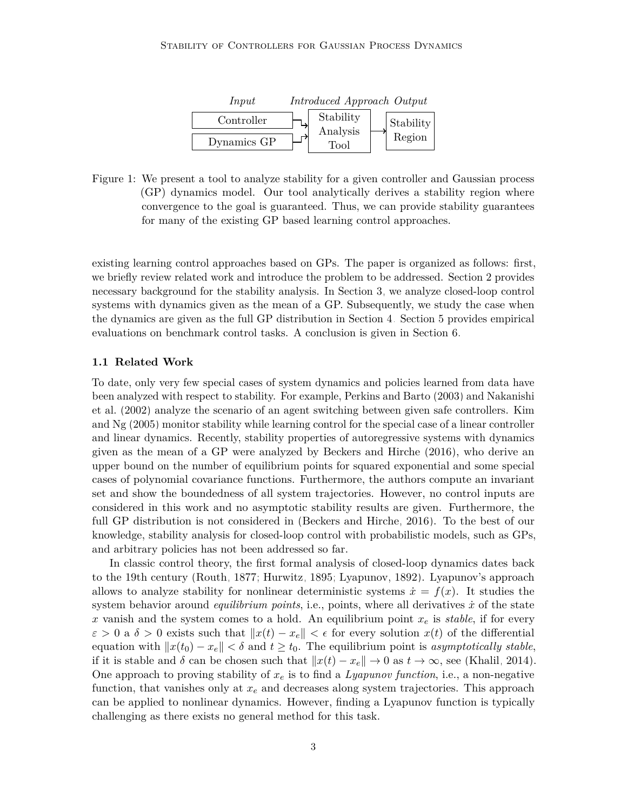<span id="page-2-0"></span>

Figure 1: We present a tool to analyze stability for a given controller and Gaussian process (GP) dynamics model. Our tool analytically derives a stability region where convergence to the goal is guaranteed. Thus, we can provide stability guarantees for many of the existing GP based learning control approaches.

existing learning control approaches based on GPs. The paper is organized as follows: first, we briefly review related work and introduce the problem to be addressed. Section [2](#page-4-0) provides necessary background for the stability analysis. In Section [3,](#page-5-0) we analyze closed-loop control systems with dynamics given as the mean of a GP. Subsequently, we study the case when the dynamics are given as the full GP distribution in Section [4.](#page-13-0) Section [5](#page-25-0) provides empirical evaluations on benchmark control tasks. A conclusion is given in Section [6.](#page-29-0)

### <span id="page-2-1"></span>**1.1 Related Work**

To date, only very few special cases of system dynamics and policies learned from data have been analyzed with respect to stability. For example, [Perkins and Barto](#page-35-3) [\(2003\)](#page-35-3) and [Nakanishi](#page-35-4) [et al.](#page-35-4) [\(2002\)](#page-35-4) analyze the scenario of an agent switching between given safe controllers. [Kim](#page-34-6) [and Ng](#page-34-6) [\(2005\)](#page-34-6) monitor stability while learning control for the special case of a linear controller and linear dynamics. Recently, stability properties of autoregressive systems with dynamics given as the mean of a GP were analyzed by [Beckers and Hirche](#page-33-2) [\(2016\)](#page-33-2), who derive an upper bound on the number of equilibrium points for squared exponential and some special cases of polynomial covariance functions. Furthermore, the authors compute an invariant set and show the boundedness of all system trajectories. However, no control inputs are considered in this work and no asymptotic stability results are given. Furthermore, the full GP distribution is not considered in [\(Beckers and Hirche, 2016\)](#page-33-2). To the best of our knowledge, stability analysis for closed-loop control with probabilistic models, such as GPs, and arbitrary policies has not been addressed so far.

In classic control theory, the first formal analysis of closed-loop dynamics dates back to the 19th century [\(Routh, 1877;](#page-35-5) [Hurwitz, 1895;](#page-34-7) [Lyapunov, 1892\)](#page-34-8). Lyapunov's approach allows to analyze stability for nonlinear deterministic systems  $\dot{x} = f(x)$ . It studies the system behavior around *equilibrium points*, i.e., points, where all derivatives *x*˙ of the state *x* vanish and the system comes to a hold. An equilibrium point *x<sup>e</sup>* is *stable*, if for every  $\varepsilon > 0$  a  $\delta > 0$  exists such that  $||x(t) - x_e|| < \epsilon$  for every solution  $x(t)$  of the differential equation with  $||x(t_0) - x_e|| < \delta$  and  $t \ge t_0$ . The equilibrium point is *asymptotically stable*, if it is stable and  $\delta$  can be chosen such that  $||x(t) - x_e|| \to 0$  as  $t \to \infty$ , see [\(Khalil, 2014\)](#page-34-3). One approach to proving stability of  $x_e$  is to find a *Lyapunov function*, i.e., a non-negative function, that vanishes only at  $x_e$  and decreases along system trajectories. This approach can be applied to nonlinear dynamics. However, finding a Lyapunov function is typically challenging as there exists no general method for this task.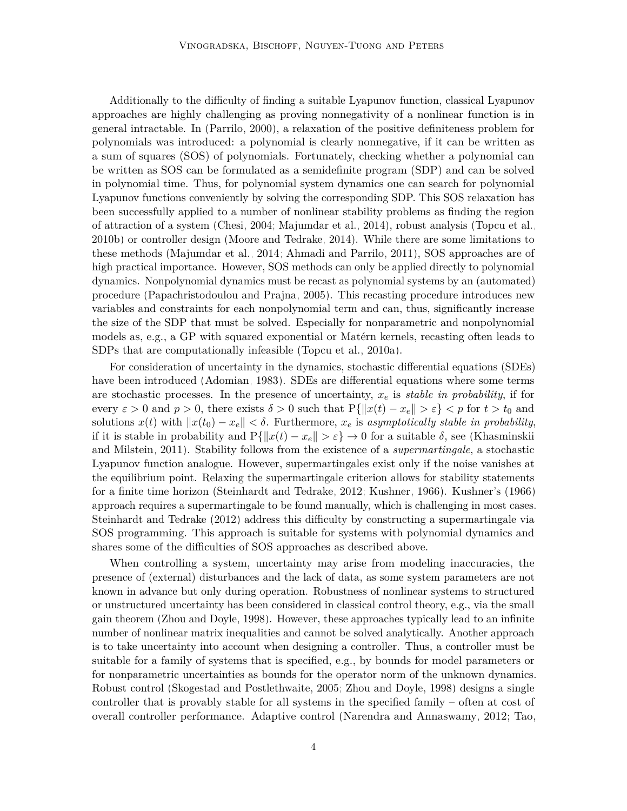Additionally to the difficulty of finding a suitable Lyapunov function, classical Lyapunov approaches are highly challenging as proving nonnegativity of a nonlinear function is in general intractable. In [\(Parrilo, 2000\)](#page-35-6), a relaxation of the positive definiteness problem for polynomials was introduced: a polynomial is clearly nonnegative, if it can be written as a sum of squares (SOS) of polynomials. Fortunately, checking whether a polynomial can be written as SOS can be formulated as a semidefinite program (SDP) and can be solved in polynomial time. Thus, for polynomial system dynamics one can search for polynomial Lyapunov functions conveniently by solving the corresponding SDP. This SOS relaxation has been successfully applied to a number of nonlinear stability problems as finding the region of attraction of a system [\(Chesi, 2004;](#page-33-3) [Majumdar et al., 2014\)](#page-34-9), robust analysis [\(Topcu et al.,](#page-36-1) [2010b\)](#page-36-1) or controller design [\(Moore and Tedrake, 2014\)](#page-35-7). While there are some limitations to these methods [\(Majumdar et al., 2014;](#page-34-9) [Ahmadi and Parrilo, 2011\)](#page-33-4), SOS approaches are of high practical importance. However, SOS methods can only be applied directly to polynomial dynamics. Nonpolynomial dynamics must be recast as polynomial systems by an (automated) procedure [\(Papachristodoulou and Prajna, 2005\)](#page-35-8). This recasting procedure introduces new variables and constraints for each nonpolynomial term and can, thus, significantly increase the size of the SDP that must be solved. Especially for nonparametric and nonpolynomial models as, e.g., a GP with squared exponential or Matérn kernels, recasting often leads to SDPs that are computationally infeasible [\(Topcu et al., 2010a\)](#page-36-2).

For consideration of uncertainty in the dynamics, stochastic differential equations (SDEs) have been introduced [\(Adomian, 1983\)](#page-33-5). SDEs are differential equations where some terms are stochastic processes. In the presence of uncertainty, *x<sup>e</sup>* is *stable in probability*, if for every  $\varepsilon > 0$  and  $p > 0$ , there exists  $\delta > 0$  such that  $P\{\Vert x(t) - x_e \Vert > \varepsilon\} < p$  for  $t > t_0$  and solutions  $x(t)$  with  $||x(t_0) - x_e|| < \delta$ . Furthermore,  $x_e$  is *asymptotically stable in probability*, if it is stable in probability and  $P\{\Vert x(t) - x_e \Vert > \varepsilon\} \to 0$  for a suitable  $\delta$ , see [\(Khasminskii](#page-34-4) [and Milstein, 2011\)](#page-34-4). Stability follows from the existence of a *supermartingale*, a stochastic Lyapunov function analogue. However, supermartingales exist only if the noise vanishes at the equilibrium point. Relaxing the supermartingale criterion allows for stability statements for a finite time horizon [\(Steinhardt and Tedrake, 2012;](#page-36-3) [Kushner, 1966\)](#page-34-10). [Kushner'](#page-34-10)s [\(1966\)](#page-34-10) approach requires a supermartingale to be found manually, which is challenging in most cases. [Steinhardt and Tedrake](#page-36-3) [\(2012\)](#page-36-3) address this difficulty by constructing a supermartingale via SOS programming. This approach is suitable for systems with polynomial dynamics and shares some of the difficulties of SOS approaches as described above.

When controlling a system, uncertainty may arise from modeling inaccuracies, the presence of (external) disturbances and the lack of data, as some system parameters are not known in advance but only during operation. Robustness of nonlinear systems to structured or unstructured uncertainty has been considered in classical control theory, e.g., via the small gain theorem [\(Zhou and Doyle, 1998\)](#page-36-4). However, these approaches typically lead to an infinite number of nonlinear matrix inequalities and cannot be solved analytically. Another approach is to take uncertainty into account when designing a controller. Thus, a controller must be suitable for a family of systems that is specified, e.g., by bounds for model parameters or for nonparametric uncertainties as bounds for the operator norm of the unknown dynamics. Robust control [\(Skogestad and Postlethwaite, 2005;](#page-35-2) [Zhou and Doyle, 1998\)](#page-36-4) designs a single controller that is provably stable for all systems in the specified family – often at cost of overall controller performance. Adaptive control [\(Narendra and Annaswamy, 2012;](#page-35-9) [Tao,](#page-36-5)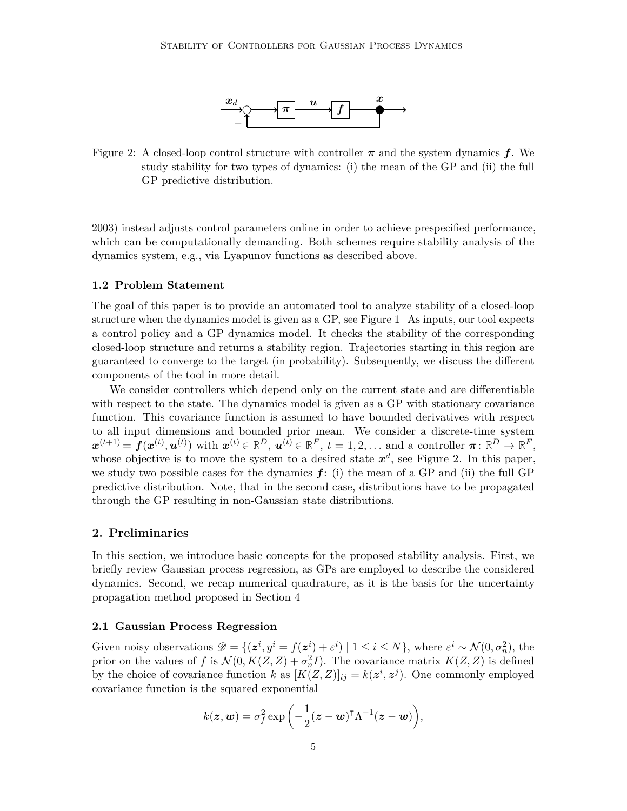

<span id="page-4-1"></span>Figure 2: A closed-loop control structure with controller  $\pi$  and the system dynamics  $f$ . We study stability for two types of dynamics: (i) the mean of the GP and (ii) the full GP predictive distribution.

[2003\)](#page-36-5) instead adjusts control parameters online in order to achieve prespecified performance, which can be computationally demanding. Both schemes require stability analysis of the dynamics system, e.g., via Lyapunov functions as described above.

### **1.2 Problem Statement**

The goal of this paper is to provide an automated tool to analyze stability of a closed-loop structure when the dynamics model is given as a GP, see Figure [1.](#page-2-0) As inputs, our tool expects a control policy and a GP dynamics model. It checks the stability of the corresponding closed-loop structure and returns a stability region. Trajectories starting in this region are guaranteed to converge to the target (in probability). Subsequently, we discuss the different components of the tool in more detail.

We consider controllers which depend only on the current state and are differentiable with respect to the state. The dynamics model is given as a GP with stationary covariance function. This covariance function is assumed to have bounded derivatives with respect to all input dimensions and bounded prior mean. We consider a discrete-time system  $\boldsymbol{x}^{(t+1)} = \boldsymbol{f}(\boldsymbol{x}^{(t)}, \boldsymbol{u}^{(t)})$  with  $\boldsymbol{x}^{(t)} \in \mathbb{R}^D$ ,  $\boldsymbol{u}^{(t)} \in \mathbb{R}^F$ ,  $t = 1, 2, \ldots$  and a controller  $\boldsymbol{\pi} \colon \mathbb{R}^D \to \mathbb{R}^F$ , whose objective is to move the system to a desired state  $x^d$ , see Figure [2.](#page-4-1) In this paper, we study two possible cases for the dynamics *f*: (i) the mean of a GP and (ii) the full GP predictive distribution. Note, that in the second case, distributions have to be propagated through the GP resulting in non-Gaussian state distributions.

## <span id="page-4-0"></span>**2. Preliminaries**

In this section, we introduce basic concepts for the proposed stability analysis. First, we briefly review Gaussian process regression, as GPs are employed to describe the considered dynamics. Second, we recap numerical quadrature, as it is the basis for the uncertainty propagation method proposed in Section [4.](#page-13-0)

### **2.1 Gaussian Process Regression**

Given noisy observations  $\mathscr{D} = \{(\mathbf{z}^i, y^i = f(\mathbf{z}^i) + \varepsilon^i) \mid 1 \leq i \leq N\}$ , where  $\varepsilon^i \sim \mathcal{N}(0, \sigma_n^2)$ , the prior on the values of *f* is  $\mathcal{N}(0, K(Z, Z) + \sigma_n^2 I)$ . The covariance matrix  $K(Z, Z)$  is defined by the choice of covariance function *k* as  $[K(Z, Z)]_{ij} = k(z^i, z^j)$ . One commonly employed covariance function is the squared exponential

$$
k(\boldsymbol{z}, \boldsymbol{w}) = \sigma_f^2 \exp\left(-\frac{1}{2}(\boldsymbol{z}-\boldsymbol{w})^{\mathsf{T}} \Lambda^{-1}(\boldsymbol{z}-\boldsymbol{w})\right),\,
$$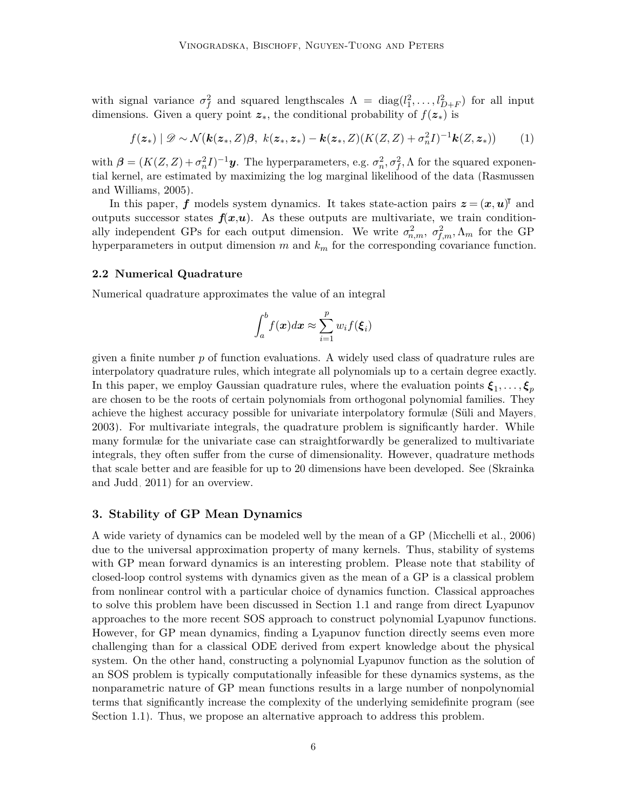with signal variance  $\sigma_f^2$  and squared lengthscales  $\Lambda = \text{diag}(l_1^2, \ldots, l_{D+F}^2)$  for all input dimensions. Given a query point  $z_*,$  the conditional probability of  $f(z_*)$  is

$$
f(\boldsymbol{z}_*) \mid \mathscr{D} \sim \mathcal{N}(\boldsymbol{k}(\boldsymbol{z}_*, \boldsymbol{Z})\boldsymbol{\beta}, \ k(\boldsymbol{z}_*, \boldsymbol{z}_*) - \boldsymbol{k}(\boldsymbol{z}_*, \boldsymbol{Z})(K(\boldsymbol{Z}, \boldsymbol{Z}) + \sigma_n^2 \boldsymbol{I})^{-1} \boldsymbol{k}(\boldsymbol{Z}, \boldsymbol{z}_*)) \tag{1}
$$

with  $\beta = (K(Z, Z) + \sigma_n^2 I)^{-1}y$ . The hyperparameters, e.g.  $\sigma_n^2$ ,  $\sigma_f^2$ ,  $\Lambda$  for the squared exponential kernel, are estimated by maximizing the log marginal likelihood of the data [\(Rasmussen](#page-35-10) [and Williams, 2005\)](#page-35-10).

In this paper,  $\hat{f}$  models system dynamics. It takes state-action pairs  $\mathbf{z} = (\mathbf{x}, \mathbf{u})^{\mathsf{T}}$  and outputs successor states  $f(x, u)$ . As these outputs are multivariate, we train conditionally independent GPs for each output dimension. We write  $\sigma_{n,m}^2$ ,  $\sigma_{f,m}^2$ ,  $\Lambda_m$  for the GP hyperparameters in output dimension  $m$  and  $k_m$  for the corresponding covariance function.

### **2.2 Numerical Quadrature**

Numerical quadrature approximates the value of an integral

<span id="page-5-1"></span>
$$
\int_a^b f(\mathbf{x})d\mathbf{x} \approx \sum_{i=1}^p w_i f(\boldsymbol{\xi}_i)
$$

given a finite number *p* of function evaluations. A widely used class of quadrature rules are interpolatory quadrature rules, which integrate all polynomials up to a certain degree exactly. In this paper, we employ Gaussian quadrature rules, where the evaluation points  $\xi_1, \ldots, \xi_p$ are chosen to be the roots of certain polynomials from orthogonal polynomial families. They achieve the highest accuracy possible for univariate interpolatory formulæ (Süli and Mayers, [2003\)](#page-36-6). For multivariate integrals, the quadrature problem is significantly harder. While many formulæ for the univariate case can straightforwardly be generalized to multivariate integrals, they often suffer from the curse of dimensionality. However, quadrature methods that scale better and are feasible for up to 20 dimensions have been developed. See [\(Skrainka](#page-35-11) [and Judd, 2011\)](#page-35-11) for an overview.

## <span id="page-5-0"></span>**3. Stability of GP Mean Dynamics**

A wide variety of dynamics can be modeled well by the mean of a GP [\(Micchelli et al., 2006\)](#page-34-11) due to the universal approximation property of many kernels. Thus, stability of systems with GP mean forward dynamics is an interesting problem. Please note that stability of closed-loop control systems with dynamics given as the mean of a GP is a classical problem from nonlinear control with a particular choice of dynamics function. Classical approaches to solve this problem have been discussed in Section [1.1](#page-2-1) and range from direct Lyapunov approaches to the more recent SOS approach to construct polynomial Lyapunov functions. However, for GP mean dynamics, finding a Lyapunov function directly seems even more challenging than for a classical ODE derived from expert knowledge about the physical system. On the other hand, constructing a polynomial Lyapunov function as the solution of an SOS problem is typically computationally infeasible for these dynamics systems, as the nonparametric nature of GP mean functions results in a large number of nonpolynomial terms that significantly increase the complexity of the underlying semidefinite program (see Section [1.1\)](#page-2-1). Thus, we propose an alternative approach to address this problem.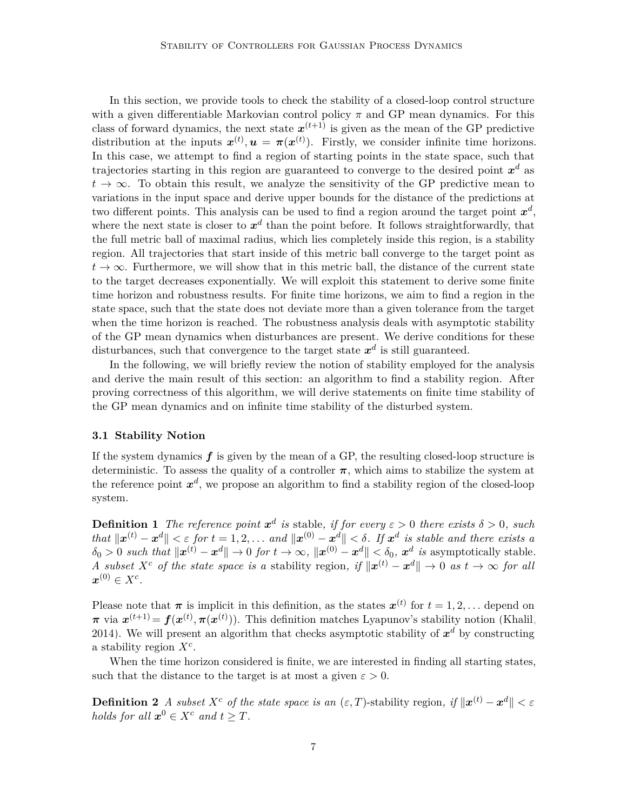In this section, we provide tools to check the stability of a closed-loop control structure with a given differentiable Markovian control policy  $\pi$  and GP mean dynamics. For this class of forward dynamics, the next state  $x^{(t+1)}$  is given as the mean of the GP predictive distribution at the inputs  $x^{(t)}$ ,  $u = \pi(x^{(t)})$ . Firstly, we consider infinite time horizons. In this case, we attempt to find a region of starting points in the state space, such that trajectories starting in this region are guaranteed to converge to the desired point *x <sup>d</sup>* as  $t \to \infty$ . To obtain this result, we analyze the sensitivity of the GP predictive mean to variations in the input space and derive upper bounds for the distance of the predictions at two different points. This analysis can be used to find a region around the target point *x d* , where the next state is closer to  $x^d$  than the point before. It follows straightforwardly, that the full metric ball of maximal radius, which lies completely inside this region, is a stability region. All trajectories that start inside of this metric ball converge to the target point as  $t \to \infty$ . Furthermore, we will show that in this metric ball, the distance of the current state to the target decreases exponentially. We will exploit this statement to derive some finite time horizon and robustness results. For finite time horizons, we aim to find a region in the state space, such that the state does not deviate more than a given tolerance from the target when the time horizon is reached. The robustness analysis deals with asymptotic stability of the GP mean dynamics when disturbances are present. We derive conditions for these disturbances, such that convergence to the target state  $x^d$  is still guaranteed.

In the following, we will briefly review the notion of stability employed for the analysis and derive the main result of this section: an algorithm to find a stability region. After proving correctness of this algorithm, we will derive statements on finite time stability of the GP mean dynamics and on infinite time stability of the disturbed system.

#### **3.1 Stability Notion**

If the system dynamics  $f$  is given by the mean of a GP, the resulting closed-loop structure is deterministic. To assess the quality of a controller  $\pi$ , which aims to stabilize the system at the reference point  $x^d$ , we propose an algorithm to find a stability region of the closed-loop system.

<span id="page-6-0"></span>**Definition 1** *The reference point*  $x^d$  *is* stable, *if for every*  $\varepsilon > 0$  *there exists*  $\delta > 0$ *, such* that  $\|\boldsymbol{x}^{(t)}-\boldsymbol{x}^d\|<\varepsilon$  for  $t=1,2,...$  and  $\|\boldsymbol{x}^{(0)}-\boldsymbol{x}^d\|<\delta$ . If  $\boldsymbol{x}^d$  is stable and there exists a  $\delta_0 > 0$  such that  $\|\mathbf{x}^{(t)} - \mathbf{x}^{d}\| \to 0$  for  $t \to \infty$ ,  $\|\mathbf{x}^{(0)} - \mathbf{x}^{d}\| < \delta_0$ ,  $\mathbf{x}^{d}$  is asymptotically stable. *A* subset  $X^c$  of the state space is a stability region, if  $\|\mathbf{x}^{(t)} - \mathbf{x}^d\| \to 0$  as  $t \to \infty$  for all  $\boldsymbol{x}^{(0)} \in X^c$ .

Please note that  $\pi$  is implicit in this definition, as the states  $x^{(t)}$  for  $t = 1, 2, \ldots$  depend on  $\pi$  via  $x^{(t+1)} = f(x^{(t)}, \pi(x^{(t)}))$ . This definition matches Lyapunov's stability notion [\(Khalil,](#page-34-3) [2014\)](#page-34-3). We will present an algorithm that checks asymptotic stability of  $x^d$  by constructing a stability region *X<sup>c</sup>* .

<span id="page-6-1"></span>When the time horizon considered is finite, we are interested in finding all starting states, such that the distance to the target is at most a given  $\varepsilon > 0$ .

**Definition 2** *A subset*  $X^c$  *of the state space is an*  $(\varepsilon, T)$ -stability region, if  $\|\boldsymbol{x}^{(t)} - \boldsymbol{x}^d\| < \varepsilon$ *holds for all*  $x^0 \in X^c$  *and*  $t \geq T$ *.*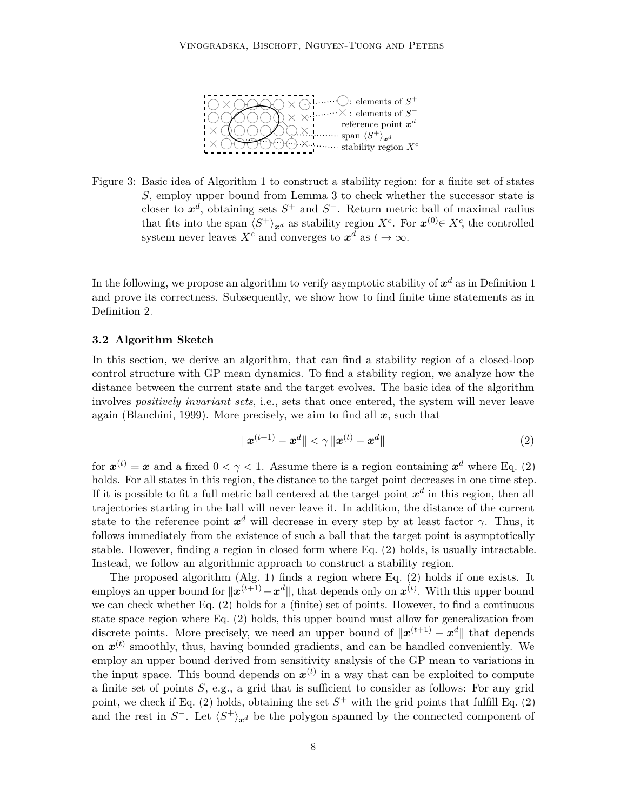

<span id="page-7-1"></span>Figure 3: Basic idea of Algorithm [1](#page-8-0) to construct a stability region: for a finite set of states *S*, employ upper bound from Lemma [3](#page-8-1) to check whether the successor state is closer to  $x^d$ , obtaining sets  $S^+$  and  $S^-$ . Return metric ball of maximal radius that fits into the span  $\langle S^+ \rangle_{x^d}$  as stability region  $X^c$ . For  $x^{(0)} \in X^c$ , the controlled system never leaves  $X^c$  and converges to  $x^d$  as  $t \to \infty$ .

In the following, we propose an algorithm to verify asymptotic stability of  $x^d$  as in Definition [1](#page-6-0) and prove its correctness. Subsequently, we show how to find finite time statements as in Definition [2.](#page-6-1)

#### **3.2 Algorithm Sketch**

In this section, we derive an algorithm, that can find a stability region of a closed-loop control structure with GP mean dynamics. To find a stability region, we analyze how the distance between the current state and the target evolves. The basic idea of the algorithm involves *positively invariant sets*, i.e., sets that once entered, the system will never leave again [\(Blanchini, 1999\)](#page-33-6). More precisely, we aim to find all  $x$ , such that

<span id="page-7-0"></span>
$$
\|\boldsymbol{x}^{(t+1)} - \boldsymbol{x}^{d}\| < \gamma \|\boldsymbol{x}^{(t)} - \boldsymbol{x}^{d}\| \tag{2}
$$

for  $x^{(t)} = x$  and a fixed  $0 < \gamma < 1$ . Assume there is a region containing  $x^d$  where Eq. [\(2\)](#page-7-0) holds. For all states in this region, the distance to the target point decreases in one time step. If it is possible to fit a full metric ball centered at the target point  $x^d$  in this region, then all trajectories starting in the ball will never leave it. In addition, the distance of the current state to the reference point  $x^d$  will decrease in every step by at least factor *γ*. Thus, it follows immediately from the existence of such a ball that the target point is asymptotically stable. However, finding a region in closed form where Eq. [\(2\)](#page-7-0) holds, is usually intractable. Instead, we follow an algorithmic approach to construct a stability region.

The proposed algorithm (Alg. [1\)](#page-8-0) finds a region where Eq. [\(2\)](#page-7-0) holds if one exists. It employs an upper bound for  $\|\mathbf{x}^{(t+1)} - \mathbf{x}^{d}\|$ , that depends only on  $\mathbf{x}^{(t)}$ . With this upper bound we can check whether Eq. [\(2\)](#page-7-0) holds for a (finite) set of points. However, to find a continuous state space region where Eq. [\(2\)](#page-7-0) holds, this upper bound must allow for generalization from discrete points. More precisely, we need an upper bound of  $\|\mathbf{x}^{(t+1)} - \mathbf{x}^{d}\|$  that depends on  $x^{(t)}$  smoothly, thus, having bounded gradients, and can be handled conveniently. We employ an upper bound derived from sensitivity analysis of the GP mean to variations in the input space. This bound depends on  $x^{(t)}$  in a way that can be exploited to compute a finite set of points *S*, e.g., a grid that is sufficient to consider as follows: For any grid point, we check if Eq.  $(2)$  holds, obtaining the set  $S^+$  with the grid points that fulfill Eq.  $(2)$ and the rest in  $S^-$ . Let  $\langle S^+ \rangle_{x^d}$  be the polygon spanned by the connected component of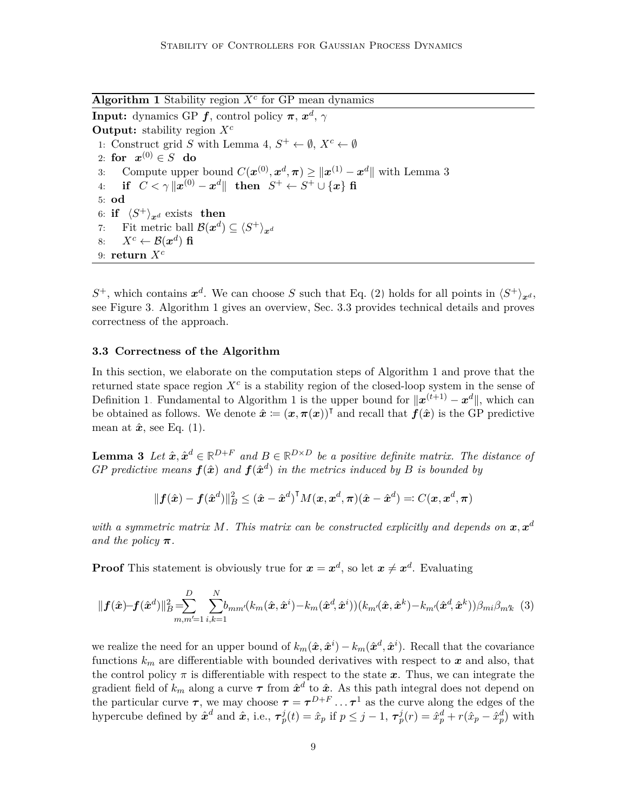<span id="page-8-0"></span>**Algorithm 1** Stability region *X<sup>c</sup>* for GP mean dynamics

**Input:** dynamics GP  $f$ , control policy  $\pi$ ,  $x^d$ ,  $\gamma$ **Output:** stability region *X<sup>c</sup>* 1: Construct grid *S* with Lemma [4,](#page-9-0)  $S^+ \leftarrow \emptyset$ ,  $X^c \leftarrow \emptyset$  $2:$  for  $x^{(0)} \in S$  do 3: Compute upper bound  $C(\mathbf{x}^{(0)}, \mathbf{x}^d, \boldsymbol{\pi}) \ge ||\mathbf{x}^{(1)} - \mathbf{x}^d||$  with Lemma [3](#page-8-1)  $4\colon\quad\textbf{if}\quad C<\gamma\,\|\boldsymbol{x}^{(0)}-\boldsymbol{x}^{d}\|\quad\textbf{then}\quad S^{+}\leftarrow S^{+}\cup\{\boldsymbol{x}\}\,\,\textbf{f}^{*}$ 5: **od** 6: **if**  $\langle S^+ \rangle_{x^d}$  exists **then** 7: Fit metric ball  $\mathcal{B}(x^d) \subseteq \langle S^+ \rangle_{x^d}$ 8:  $X^c \leftarrow \mathcal{B}(\boldsymbol{x}^d)$  **fi** 9: **return**  $X^c$ 

*S*<sup>+</sup>, which contains  $x^d$ . We can choose *S* such that Eq. [\(2\)](#page-7-0) holds for all points in  $\langle S^+ \rangle_{x^d}$ , see Figure [3.](#page-7-1) Algorithm [1](#page-8-0) gives an overview, Sec. [3.3](#page-8-2) provides technical details and proves correctness of the approach.

### <span id="page-8-2"></span>**3.3 Correctness of the Algorithm**

In this section, we elaborate on the computation steps of Algorithm [1](#page-8-0) and prove that the returned state space region *X<sup>c</sup>* is a stability region of the closed-loop system in the sense of Definition [1.](#page-6-0) Fundamental to Algorithm [1](#page-8-0) is the upper bound for  $\|\mathbf{x}^{(t+1)} - \mathbf{x}^{d}\|$ , which can be obtained as follows. We denote  $\hat{x} := (x, \pi(x))^{\dagger}$  and recall that  $f(\hat{x})$  is the GP predictive mean at  $\hat{\boldsymbol{x}}$ , see Eq. [\(1\)](#page-5-1).

**Lemma 3** Let  $\hat{x}, \hat{x}^d \in \mathbb{R}^{D+F}$  and  $B \in \mathbb{R}^{D \times D}$  be a positive definite matrix. The distance of *GP* predictive means  $f(\hat{x})$  and  $f(\hat{x}^d)$  in the metrics induced by B is bounded by

<span id="page-8-3"></span><span id="page-8-1"></span>
$$
\|\boldsymbol{f}(\hat{\boldsymbol{x}})-\boldsymbol{f}(\hat{\boldsymbol{x}}^d)\|_B^2 \leq (\hat{\boldsymbol{x}}-\hat{\boldsymbol{x}}^d)^{\mathsf{T}}M(\boldsymbol{x},\boldsymbol{x}^d,\boldsymbol{\pi})(\hat{\boldsymbol{x}}-\hat{\boldsymbol{x}}^d) =: C(\boldsymbol{x},\boldsymbol{x}^d,\boldsymbol{\pi})
$$

*with a symmetric matrix*  $M$ *. This matrix can be constructed explicitly and depends on*  $x, x^d$ *and the policy π.*

**Proof** This statement is obviously true for  $x = x^d$ , so let  $x \neq x^d$ . Evaluating

$$
\|\boldsymbol{f}(\hat{\boldsymbol{x}}) - \boldsymbol{f}(\hat{\boldsymbol{x}}^{d})\|_{B}^{2} = \sum_{m,m'=1}^{D} \sum_{i,k=1}^{N} b_{mm'}(k_{m}(\hat{\boldsymbol{x}}, \hat{\boldsymbol{x}}^{i}) - k_{m}(\hat{\boldsymbol{x}}^{d}, \hat{\boldsymbol{x}}^{i})) (k_{m'}(\hat{\boldsymbol{x}}, \hat{\boldsymbol{x}}^{k}) - k_{m'}(\hat{\boldsymbol{x}}^{d}, \hat{\boldsymbol{x}}^{k})) \beta_{mi} \beta_{m'k} \tag{3}
$$

we realize the need for an upper bound of  $k_m(\hat{x}, \hat{x}^i) - k_m(\hat{x}^d, \hat{x}^i)$ . Recall that the covariance functions  $k_m$  are differentiable with bounded derivatives with respect to  $x$  and also, that the control policy  $\pi$  is differentiable with respect to the state  $x$ . Thus, we can integrate the gradient field of  $k_m$  along a curve  $\tau$  from  $\hat{x}^d$  to  $\hat{x}$ . As this path integral does not depend on the particular curve  $\tau$ , we may choose  $\tau = \tau^{D+F} \dots \tau^1$  as the curve along the edges of the hypercube defined by  $\hat{x}^d$  and  $\hat{x}$ , i.e.,  $\tau_p^j(t) = \hat{x}_p$  if  $p \leq j - 1$ ,  $\tau_p^j(r) = \hat{x}_p^d + r(\hat{x}_p - \hat{x}_p^d)$  with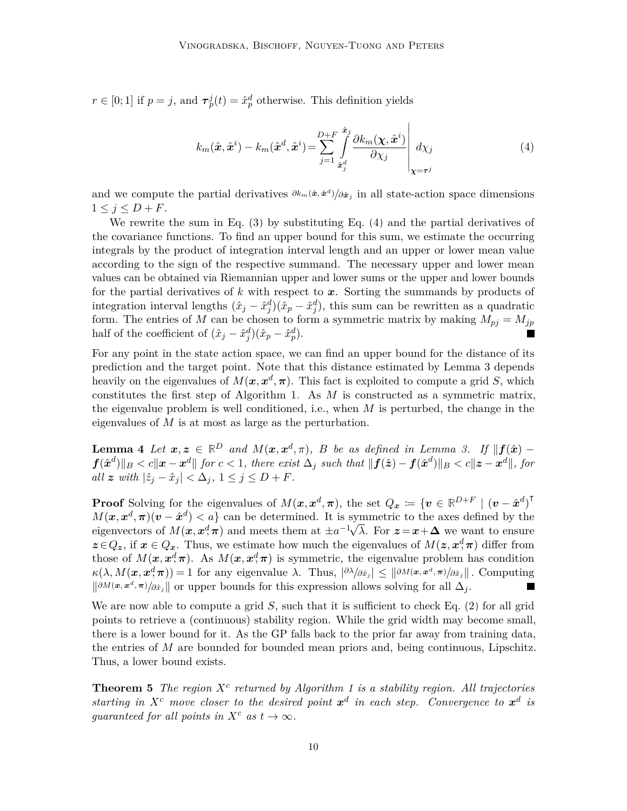$r \in [0; 1]$  if  $p = j$ , and  $\tau_p^j(t) = \hat{x}_p^d$  otherwise. This definition yields

<span id="page-9-1"></span>
$$
k_m(\hat{\boldsymbol{x}}, \hat{\boldsymbol{x}}^i) - k_m(\hat{\boldsymbol{x}}^d, \hat{\boldsymbol{x}}^i) = \sum_{j=1}^{D+F} \int_{\hat{\boldsymbol{x}}_j^d} \frac{\partial k_m(\boldsymbol{\chi}, \hat{\boldsymbol{x}}^i)}{\partial \chi_j} \left| \begin{array}{c} d\chi_j \\ \chi_{j+1} \end{array} \right|
$$
(4)

and we compute the partial derivatives  $\partial k_m(\hat{\mathbf{x}}, \hat{\mathbf{x}}^d) / \partial \hat{\mathbf{x}}_j$  in all state-action space dimensions  $1 \leq j \leq D + F$ .

We rewrite the sum in Eq. [\(3\)](#page-8-3) by substituting Eq. [\(4\)](#page-9-1) and the partial derivatives of the covariance functions. To find an upper bound for this sum, we estimate the occurring integrals by the product of integration interval length and an upper or lower mean value according to the sign of the respective summand. The necessary upper and lower mean values can be obtained via Riemannian upper and lower sums or the upper and lower bounds for the partial derivatives of *k* with respect to *x*. Sorting the summands by products of integration interval lengths  $(\hat{x}_j - \hat{x}_j^d)(\hat{x}_p - \hat{x}_j^d)$ , this sum can be rewritten as a quadratic form. The entries of *M* can be chosen to form a symmetric matrix by making  $M_{pj} = M_{jp}$ half of the coefficient of  $(\hat{x}_j - \hat{x}_j^d)(\hat{x}_p - \hat{x}_p^d)$ .

For any point in the state action space, we can find an upper bound for the distance of its prediction and the target point. Note that this distance estimated by Lemma [3](#page-8-1) depends heavily on the eigenvalues of  $M(x, x^d, \pi)$ . This fact is exploited to compute a grid *S*, which constitutes the first step of Algorithm [1.](#page-8-0) As *M* is constructed as a symmetric matrix, the eigenvalue problem is well conditioned, i.e., when *M* is perturbed, the change in the eigenvalues of *M* is at most as large as the perturbation.

<span id="page-9-0"></span>**Lemma 4** Let  $x, z \in \mathbb{R}^D$  and  $M(x, x^d, \pi)$ , B be as defined in Lemma [3.](#page-8-1) If  $||f(\hat{x}) \bm{f}(\hat{\bm{x}}^d)\|_B < c\|\bm{x}-\bm{x}^d\|$  for  $c < 1$ , there exist  $\Delta_j$  such that  $\|\bm{f}(\hat{\bm{z}})-\bm{f}(\hat{\bm{x}}^d)\|_B < c\|\bm{z}-\bm{x}^d\|$ , for  $all \ z \ with \ |\hat{z}_j - \hat{x}_j| < \Delta_j, \ 1 \le j \le D + F.$ 

**Proof** Solving for the eigenvalues of  $M(x, x^d, \pi)$ , the set  $Q_x := \{v \in \mathbb{R}^{D+F} \mid (v - \hat{x}^d)^T\}$  $M(x, x^d, \pi)(v - \hat{x}^d) < a$  can be determined. It is symmetric to the axes defined by the eigenvectors of  $M(x, x^d, \pi)$  and meets them at  $\pm a^{-1}\sqrt{\lambda}$ . For  $z = x + \Delta$  we want to ensure  $z \in Q_z$ , if  $x \in Q_x$ . Thus, we estimate how much the eigenvalues of  $M(z, x^d, \pi)$  differ from those of  $M(x, x^d, \pi)$ . As  $M(x, x^d, \pi)$  is symmetric, the eigenvalue problem has condition  $\kappa(\lambda, M(\boldsymbol{x}, \boldsymbol{x}^d, \boldsymbol{\pi})) = 1$  for any eigenvalue  $\lambda$ . Thus,  $|\partial \lambda / \partial \hat{x}_j| \leq ||\partial M(\boldsymbol{x}, \boldsymbol{x}^d, \boldsymbol{\pi}) / \partial \hat{x}_j||$ . Computing  $\|\partial M(x, x^d, \pi)/\partial \hat{x}_j\|$  or upper bounds for this expression allows solving for all  $\Delta_j$ . ш

We are now able to compute a grid *S*, such that it is sufficient to check Eq. [\(2\)](#page-7-0) for all grid points to retrieve a (continuous) stability region. While the grid width may become small, there is a lower bound for it. As the GP falls back to the prior far away from training data, the entries of *M* are bounded for bounded mean priors and, being continuous, Lipschitz. Thus, a lower bound exists.

<span id="page-9-2"></span>**Theorem 5** *The region*  $X^c$  *returned by Algorithm* [1](#page-8-0) *is a stability region. All trajectories starting in*  $X^c$  *move closer to the desired point*  $x^d$  *in each step. Convergence to*  $x^d$  *is guaranteed for all points in*  $X^c$  *as*  $t \to \infty$ *.*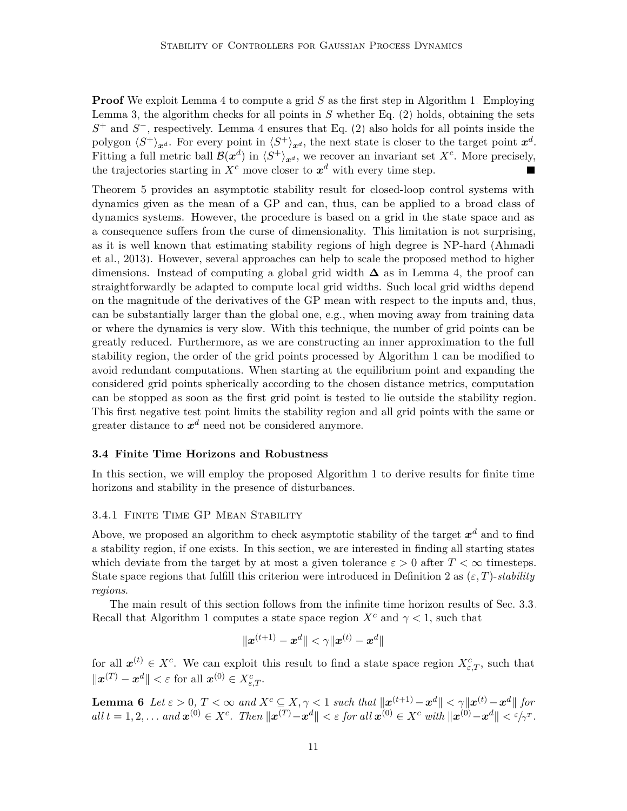**Proof** We exploit Lemma [4](#page-9-0) to compute a grid *S* as the first step in Algorithm [1.](#page-8-0) Employing Lemma [3,](#page-8-1) the algorithm checks for all points in *S* whether Eq. [\(2\)](#page-7-0) holds, obtaining the sets *S*<sup>+</sup> and *S*<sup>−</sup>, respectively. Lemma [4](#page-9-0) ensures that Eq. [\(2\)](#page-7-0) also holds for all points inside the polygon  $\langle S^+ \rangle_{x^d}$ . For every point in  $\langle S^+ \rangle_{x^d}$ , the next state is closer to the target point  $x^d$ . Fitting a full metric ball  $\mathcal{B}(x^d)$  in  $\langle S^+ \rangle_{x^d}$ , we recover an invariant set  $X^c$ . More precisely, the trajectories starting in  $X^c$  move closer to  $x^d$  with every time step. П

Theorem [5](#page-9-2) provides an asymptotic stability result for closed-loop control systems with dynamics given as the mean of a GP and can, thus, can be applied to a broad class of dynamics systems. However, the procedure is based on a grid in the state space and as a consequence suffers from the curse of dimensionality. This limitation is not surprising, as it is well known that estimating stability regions of high degree is NP-hard [\(Ahmadi](#page-33-7) [et al., 2013\)](#page-33-7). However, several approaches can help to scale the proposed method to higher dimensions. Instead of computing a global grid width **∆** as in Lemma [4,](#page-9-0) the proof can straightforwardly be adapted to compute local grid widths. Such local grid widths depend on the magnitude of the derivatives of the GP mean with respect to the inputs and, thus, can be substantially larger than the global one, e.g., when moving away from training data or where the dynamics is very slow. With this technique, the number of grid points can be greatly reduced. Furthermore, as we are constructing an inner approximation to the full stability region, the order of the grid points processed by Algorithm [1](#page-8-0) can be modified to avoid redundant computations. When starting at the equilibrium point and expanding the considered grid points spherically according to the chosen distance metrics, computation can be stopped as soon as the first grid point is tested to lie outside the stability region. This first negative test point limits the stability region and all grid points with the same or greater distance to  $x^d$  need not be considered anymore.

#### **3.4 Finite Time Horizons and Robustness**

In this section, we will employ the proposed Algorithm [1](#page-8-0) to derive results for finite time horizons and stability in the presence of disturbances.

## 3.4.1 Finite Time GP Mean Stability

Above, we proposed an algorithm to check asymptotic stability of the target  $x^d$  and to find a stability region, if one exists. In this section, we are interested in finding all starting states which deviate from the target by at most a given tolerance  $\varepsilon > 0$  after  $T < \infty$  timesteps. State space regions that fulfill this criterion were introduced in Definition [2](#page-6-1) as (*ε, T*)-*stability regions*.

The main result of this section follows from the infinite time horizon results of Sec. [3.3.](#page-8-2) Recall that Algorithm [1](#page-8-0) computes a state space region  $X^c$  and  $\gamma < 1$ , such that

<span id="page-10-0"></span>
$$
\|\boldsymbol{x}^{(t+1)}-\boldsymbol{x}^d\|<\gamma\|\boldsymbol{x}^{(t)}-\boldsymbol{x}^d\|
$$

for all  $x^{(t)} \in X^c$ . We can exploit this result to find a state space region  $X_{\varepsilon,T}^c$ , such that  $||x^{(T)} - x^d|| < \varepsilon$  for all  $x^{(0)} \in X_{\varepsilon,T}^c$ .

**Lemma 6** Let  $\varepsilon > 0$ ,  $T < \infty$  and  $X^c \subseteq X, \gamma < 1$  such that  $\|\boldsymbol{x}^{(t+1)} - \boldsymbol{x}^d\| < \gamma \|\boldsymbol{x}^{(t)} - \boldsymbol{x}^d\|$  for  $all t = 1, 2, \ldots$  and  $x^{(0)} \in X^c$ . Then  $\|\boldsymbol{x}^{(T)} - \boldsymbol{x}^d\| < \varepsilon$  for all  $\boldsymbol{x}^{(0)} \in X^c$  with  $\|\boldsymbol{x}^{(0)} - \boldsymbol{x}^d\| < \varepsilon/\gamma^r$ .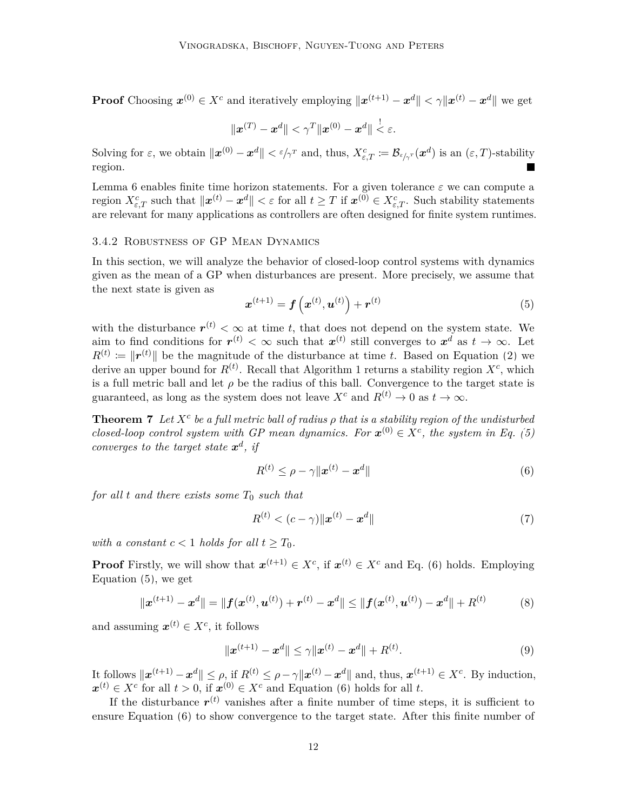**Proof** Choosing  $x^{(0)} \in X^c$  and iteratively employing  $\|\mathbf{x}^{(t+1)} - \mathbf{x}^d\| < \gamma \|\mathbf{x}^{(t)} - \mathbf{x}^d\|$  we get

$$
\|\boldsymbol{x}^{(T)}-\boldsymbol{x}^d\|<\gamma^T\|\boldsymbol{x}^{(0)}-\boldsymbol{x}^d\|<\varepsilon.
$$

Solving for  $\varepsilon$ , we obtain  $\|\boldsymbol{x}^{(0)} - \boldsymbol{x}^{d}\| < \varepsilon/\gamma^{T}$  and, thus,  $X_{\varepsilon,T}^{c} \coloneqq \mathcal{B}_{\varepsilon/\gamma^{T}}(\boldsymbol{x}^{d})$  is an  $(\varepsilon,T)$ -stability region.

Lemma [6](#page-10-0) enables finite time horizon statements. For a given tolerance *ε* we can compute a  $\int_{\mathcal{E}} f(x) \, dx \leq F(x)$  such that  $\|\mathbf{x}^{(t)} - \mathbf{x}^{d}\| < \varepsilon$  for all  $t \geq T$  if  $\mathbf{x}^{(0)} \in X_{\varepsilon,T}^c$ . Such stability statements are relevant for many applications as controllers are often designed for finite system runtimes.

## 3.4.2 Robustness of GP Mean Dynamics

In this section, we will analyze the behavior of closed-loop control systems with dynamics given as the mean of a GP when disturbances are present. More precisely, we assume that the next state is given as

<span id="page-11-0"></span>
$$
x^{(t+1)} = f\left(x^{(t)}, u^{(t)}\right) + r^{(t)}
$$
(5)

with the disturbance  $r^{(t)} < \infty$  at time *t*, that does not depend on the system state. We aim to find conditions for  $r^{(t)} < \infty$  such that  $x^{(t)}$  still converges to  $x^d$  as  $t \to \infty$ . Let  $R^{(t)} := \|r^{(t)}\|$  be the magnitude of the disturbance at time *t*. Based on Equation [\(2\)](#page-7-0) we derive an upper bound for  $R^{(t)}$ . Recall that Algorithm [1](#page-8-0) returns a stability region  $X^c$ , which is a full metric ball and let  $\rho$  be the radius of this ball. Convergence to the target state is guaranteed, as long as the system does not leave  $X^c$  and  $R^{(t)} \to 0$  as  $t \to \infty$ .

**Theorem 7** *Let*  $X^c$  *be a full metric ball of radius*  $\rho$  *that is a stability region of the undisturbed closed-loop control system with GP mean dynamics. For*  $x^{(0)} \in X^c$ , the system in Eq. [\(5\)](#page-11-0) *converges to the target state*  $x^d$ , *if* 

<span id="page-11-4"></span><span id="page-11-2"></span><span id="page-11-1"></span>
$$
R^{(t)} \leq \rho - \gamma \|x^{(t)} - x^d\| \tag{6}
$$

*for all*  $t$  *and there exists some*  $T_0$  *such that* 

$$
R^{(t)} < (c - \gamma) \|x^{(t)} - x^d\|
$$
\n(7)

*with a constant*  $c < 1$  *holds for all*  $t \geq T_0$ *.* 

**Proof** Firstly, we will show that  $x^{(t+1)} \in X^c$ , if  $x^{(t)} \in X^c$  and Eq. [\(6\)](#page-11-1) holds. Employing Equation [\(5\)](#page-11-0), we get

$$
\|\boldsymbol{x}^{(t+1)} - \boldsymbol{x}^{d}\| = \|\boldsymbol{f}(\boldsymbol{x}^{(t)}, \boldsymbol{u}^{(t)}) + \boldsymbol{r}^{(t)} - \boldsymbol{x}^{d}\| \le \|\boldsymbol{f}(\boldsymbol{x}^{(t)}, \boldsymbol{u}^{(t)}) - \boldsymbol{x}^{d}\| + R^{(t)}
$$
(8)

and assuming  $x^{(t)} \in X^c$ , it follows

<span id="page-11-3"></span>
$$
\|\mathbf{x}^{(t+1)} - \mathbf{x}^d\| \le \gamma \|\mathbf{x}^{(t)} - \mathbf{x}^d\| + R^{(t)}.
$$
\n(9)

It follows  $\|\boldsymbol{x}^{(t+1)} - \boldsymbol{x}^{d}\| \leq \rho$ , if  $R^{(t)} \leq \rho - \gamma \|\boldsymbol{x}^{(t)} - \boldsymbol{x}^{d}\|$  and, thus,  $\boldsymbol{x}^{(t+1)} \in X^c$ . By induction,  $x^{(t)} \in X^c$  for all  $t > 0$ , if  $x^{(0)} \in X^c$  and Equation [\(6\)](#page-11-1) holds for all *t*.

If the disturbance  $r^{(t)}$  vanishes after a finite number of time steps, it is sufficient to ensure Equation [\(6\)](#page-11-1) to show convergence to the target state. After this finite number of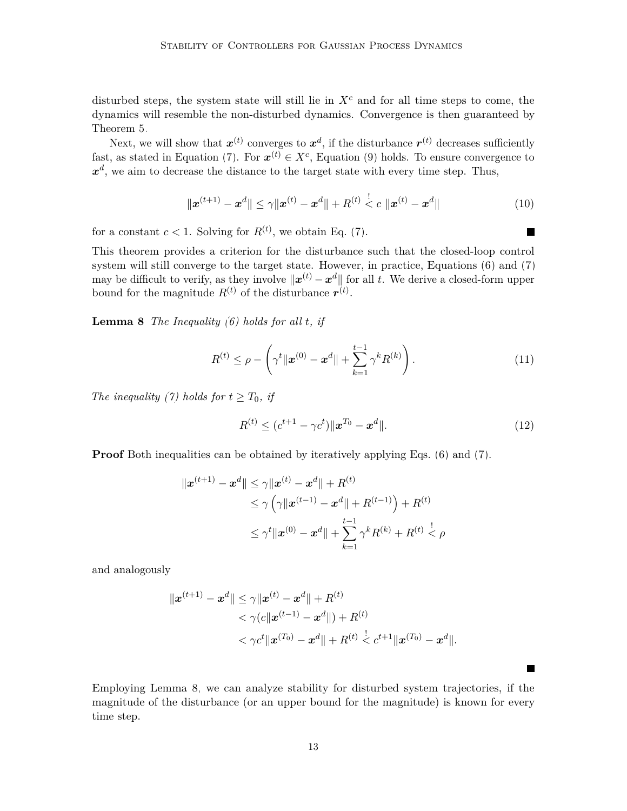disturbed steps, the system state will still lie in *X<sup>c</sup>* and for all time steps to come, the dynamics will resemble the non-disturbed dynamics. Convergence is then guaranteed by Theorem [5.](#page-9-2)

Next, we will show that  $x^{(t)}$  converges to  $x^d$ , if the disturbance  $r^{(t)}$  decreases sufficiently fast, as stated in Equation [\(7\)](#page-11-2). For  $x^{(t)} \in X^c$ , Equation [\(9\)](#page-11-3) holds. To ensure convergence to  $x^d$ , we aim to decrease the distance to the target state with every time step. Thus,

$$
\|\boldsymbol{x}^{(t+1)} - \boldsymbol{x}^{d}\| \leq \gamma \|\boldsymbol{x}^{(t)} - \boldsymbol{x}^{d}\| + R^{(t)} < c \|\boldsymbol{x}^{(t)} - \boldsymbol{x}^{d}\| \tag{10}
$$

for a constant  $c < 1$ . Solving for  $R^{(t)}$ , we obtain Eq. [\(7\)](#page-11-2).

This theorem provides a criterion for the disturbance such that the closed-loop control system will still converge to the target state. However, in practice, Equations [\(6\)](#page-11-1) and [\(7\)](#page-11-2) may be difficult to verify, as they involve  $\|\boldsymbol{x}^{(t)} - \boldsymbol{x}^{d}\|$  for all *t*. We derive a closed-form upper bound for the magnitude  $R^{(t)}$  of the disturbance  $r^{(t)}$ .

**Lemma 8** *The Inequality [\(6\)](#page-11-1) holds for all t, if*

<span id="page-12-0"></span>
$$
R^{(t)} \leq \rho - \left(\gamma^t \|x^{(0)} - x^d\| + \sum_{k=1}^{t-1} \gamma^k R^{(k)}\right). \tag{11}
$$

*The inequality [\(7\)](#page-11-2) holds for*  $t \geq T_0$ *, if* 

$$
R^{(t)} \le (c^{t+1} - \gamma c^t) \|\mathbf{x}^{T_0} - \mathbf{x}^d\|.
$$
 (12)

ш

**Proof** Both inequalities can be obtained by iteratively applying Eqs. [\(6\)](#page-11-1) and [\(7\)](#page-11-2).

$$
\|x^{(t+1)} - x^d\| \leq \gamma \|x^{(t)} - x^d\| + R^{(t)}
$$
  
\n
$$
\leq \gamma \left(\gamma \|x^{(t-1)} - x^d\| + R^{(t-1)}\right) + R^{(t)}
$$
  
\n
$$
\leq \gamma^t \|x^{(0)} - x^d\| + \sum_{k=1}^{t-1} \gamma^k R^{(k)} + R^{(t)} \leq \rho
$$

and analogously

$$
\begin{aligned} ||x^{(t+1)} - x^d|| &\le \gamma ||x^{(t)} - x^d|| + R^{(t)} \\ &< \gamma(c||x^{(t-1)} - x^d||) + R^{(t)} \\ &< \gamma c^t ||x^{(T_0)} - x^d|| + R^{(t)} &< c^{t+1} ||x^{(T_0)} - x^d||. \end{aligned}
$$

Employing Lemma [8,](#page-12-0) we can analyze stability for disturbed system trajectories, if the magnitude of the disturbance (or an upper bound for the magnitude) is known for every time step.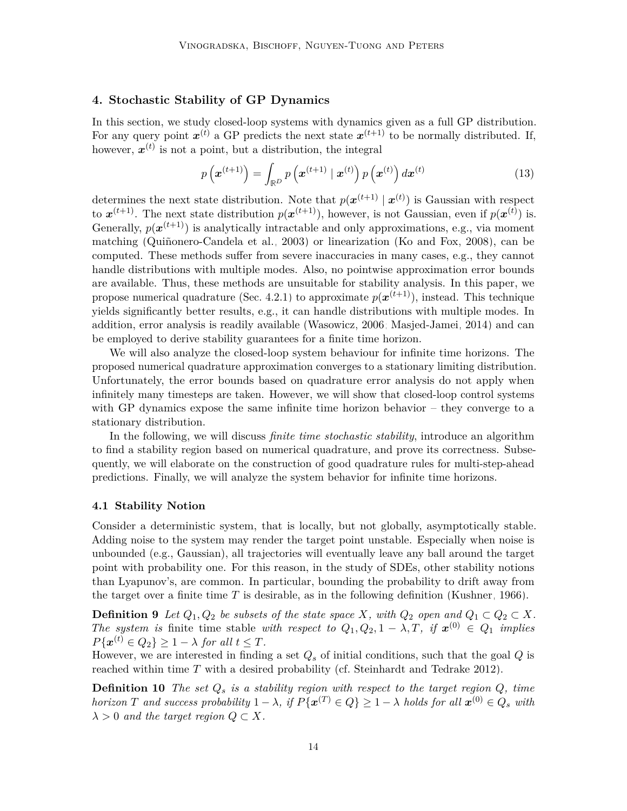# <span id="page-13-0"></span>**4. Stochastic Stability of GP Dynamics**

In this section, we study closed-loop systems with dynamics given as a full GP distribution. For any query point  $x^{(t)}$  a GP predicts the next state  $x^{(t+1)}$  to be normally distributed. If, however,  $x^{(t)}$  is not a point, but a distribution, the integral

<span id="page-13-3"></span>
$$
p\left(\boldsymbol{x}^{(t+1)}\right) = \int_{\mathbb{R}^D} p\left(\boldsymbol{x}^{(t+1)} \mid \boldsymbol{x}^{(t)}\right) p\left(\boldsymbol{x}^{(t)}\right) d\boldsymbol{x}^{(t)} \tag{13}
$$

determines the next state distribution. Note that  $p(\mathbf{x}^{(t+1)} | \mathbf{x}^{(t)})$  is Gaussian with respect to  $x^{(t+1)}$ . The next state distribution  $p(x^{(t+1)})$ , however, is not Gaussian, even if  $p(x^{(t)})$  is. Generally,  $p(\mathbf{x}^{(t+1)})$  is analytically intractable and only approximations, e.g., via moment matching (Quiñonero-Candela et al., 2003) or linearization [\(Ko and Fox, 2008\)](#page-34-12), can be computed. These methods suffer from severe inaccuracies in many cases, e.g., they cannot handle distributions with multiple modes. Also, no pointwise approximation error bounds are available. Thus, these methods are unsuitable for stability analysis. In this paper, we propose numerical quadrature (Sec. [4.2.1\)](#page-15-0) to approximate  $p(\boldsymbol{x}^{(t+1)})$ , instead. This technique yields significantly better results, e.g., it can handle distributions with multiple modes. In addition, error analysis is readily available [\(Wasowicz, 2006;](#page-36-7) [Masjed-Jamei, 2014\)](#page-34-13) and can be employed to derive stability guarantees for a finite time horizon.

We will also analyze the closed-loop system behaviour for infinite time horizons. The proposed numerical quadrature approximation converges to a stationary limiting distribution. Unfortunately, the error bounds based on quadrature error analysis do not apply when infinitely many timesteps are taken. However, we will show that closed-loop control systems with GP dynamics expose the same infinite time horizon behavior – they converge to a stationary distribution.

In the following, we will discuss *finite time stochastic stability*, introduce an algorithm to find a stability region based on numerical quadrature, and prove its correctness. Subsequently, we will elaborate on the construction of good quadrature rules for multi-step-ahead predictions. Finally, we will analyze the system behavior for infinite time horizons.

## **4.1 Stability Notion**

Consider a deterministic system, that is locally, but not globally, asymptotically stable. Adding noise to the system may render the target point unstable. Especially when noise is unbounded (e.g., Gaussian), all trajectories will eventually leave any ball around the target point with probability one. For this reason, in the study of SDEs, other stability notions than Lyapunov's, are common. In particular, bounding the probability to drift away from the target over a finite time *T* is desirable, as in the following definition [\(Kushner, 1966\)](#page-34-10).

<span id="page-13-1"></span>**Definition 9** *Let*  $Q_1, Q_2$  *be subsets of the state space*  $X$ *, with*  $Q_2$  *open and*  $Q_1 \subset Q_2 \subset X$ *. The system is* finite time stable *with respect to*  $Q_1, Q_2, 1 - \lambda, T$ , if  $x^{(0)} \in Q_1$  *implies*  $P\{\boldsymbol{x}^{(t)} \in Q_2\} \geq 1 - \lambda$  *for all*  $t \leq T$ *.* 

<span id="page-13-2"></span>However, we are interested in finding a set *Q<sup>s</sup>* of initial conditions, such that the goal *Q* is reached within time *T* with a desired probability (cf. [Steinhardt and Tedrake 2012\)](#page-36-3).

**Definition 10** *The set Q<sup>s</sup> is a stability region with respect to the target region Q, time horizon T* and success probability  $1 - \lambda$ , if  $P\{x^{(T)} \in Q\} \geq 1 - \lambda$  holds for all  $x^{(0)} \in Q_s$  with  $\lambda > 0$  *and the target region*  $Q \subset X$ *.*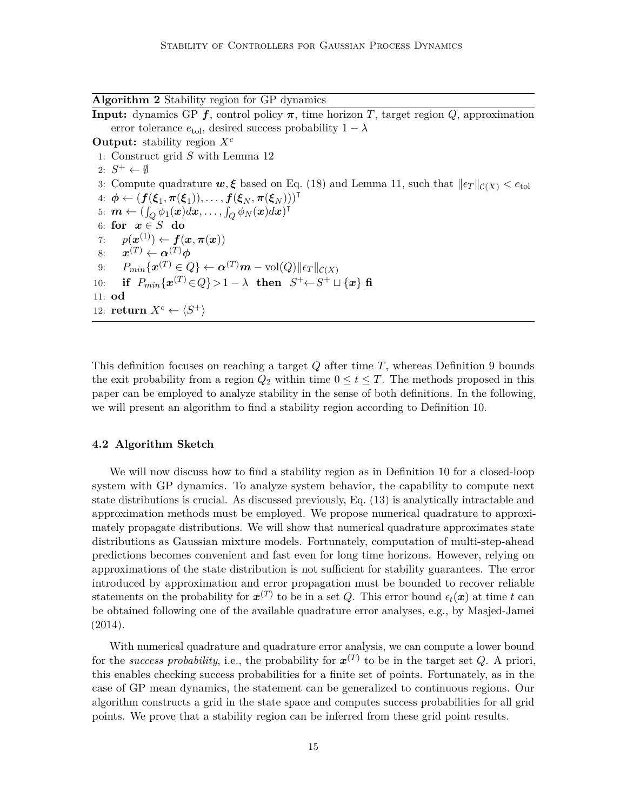<span id="page-14-0"></span>**Algorithm 2** Stability region for GP dynamics

**Input:** dynamics GP  $f$ , control policy  $\pi$ , time horizon *T*, target region *Q*, approximation error tolerance  $e_{\text{tol}}$ , desired success probability  $1 - \lambda$ **Output:** stability region *X<sup>c</sup>* 1: Construct grid *S* with Lemma [12](#page-17-0) 2:  $S^+ \leftarrow \emptyset$ 3: Compute quadrature  $w, \xi$  based on Eq. [\(18\)](#page-16-0) and Lemma [11,](#page-16-1) such that  $||\epsilon_T||_{\mathcal{C}(X)} < \epsilon_{\text{tol}}$  $4: \phi \leftarrow (f(\xi_1, \pi(\xi_1)), \ldots, f(\xi_N, \pi(\xi_N)))^{\mathsf{T}}$  $\mathbf{B}: \mathbf{m} \leftarrow (\int_Q \phi_1(\mathbf{x}) d\mathbf{x}, \ldots, \int_Q \phi_N(\mathbf{x}) d\mathbf{x})^\mathsf{T}$ 6: for  $x \in S$  do 7:  $p(x^{(1)}) \leftarrow f(x, \pi(x))$  $\bm{x}^{(T)} \leftarrow \bm{\alpha}^{(T)} \bm{\phi}$  $9\colon\quad P_{min}\{\boldsymbol{x}^{(T)}\in Q\}\leftarrow \boldsymbol{\alpha}^{(T)}\boldsymbol{m}-\mathrm{vol}(Q)\|\epsilon_T\|_{\mathcal{C}(X)}$  $10:$  **if**  $P_{min}\{\boldsymbol{x}^{(T)}\!\in\!Q\}\!>\!1-\lambda$  then  $S^+\!\!\leftarrow\!S^+\sqcup\{\boldsymbol{x}\}$  fi 11: **od** 12: **return**  $X^c \leftarrow \langle S^+ \rangle$ 

This definition focuses on reaching a target *Q* after time *T*, whereas Definition [9](#page-13-1) bounds the exit probability from a region  $Q_2$  within time  $0 \le t \le T$ . The methods proposed in this paper can be employed to analyze stability in the sense of both definitions. In the following, we will present an algorithm to find a stability region according to Definition [10.](#page-13-2)

## <span id="page-14-1"></span>**4.2 Algorithm Sketch**

We will now discuss how to find a stability region as in Definition [10](#page-13-2) for a closed-loop system with GP dynamics. To analyze system behavior, the capability to compute next state distributions is crucial. As discussed previously, Eq. [\(13\)](#page-13-3) is analytically intractable and approximation methods must be employed. We propose numerical quadrature to approximately propagate distributions. We will show that numerical quadrature approximates state distributions as Gaussian mixture models. Fortunately, computation of multi-step-ahead predictions becomes convenient and fast even for long time horizons. However, relying on approximations of the state distribution is not sufficient for stability guarantees. The error introduced by approximation and error propagation must be bounded to recover reliable statements on the probability for  $x^{(T)}$  to be in a set *Q*. This error bound  $\epsilon_t(x)$  at time *t* can be obtained following one of the available quadrature error analyses, e.g., by [Masjed-Jamei](#page-34-13) [\(2014\)](#page-34-13).

With numerical quadrature and quadrature error analysis, we can compute a lower bound for the *success probability*, i.e., the probability for  $x^{(T)}$  to be in the target set *Q*. A priori, this enables checking success probabilities for a finite set of points. Fortunately, as in the case of GP mean dynamics, the statement can be generalized to continuous regions. Our algorithm constructs a grid in the state space and computes success probabilities for all grid points. We prove that a stability region can be inferred from these grid point results.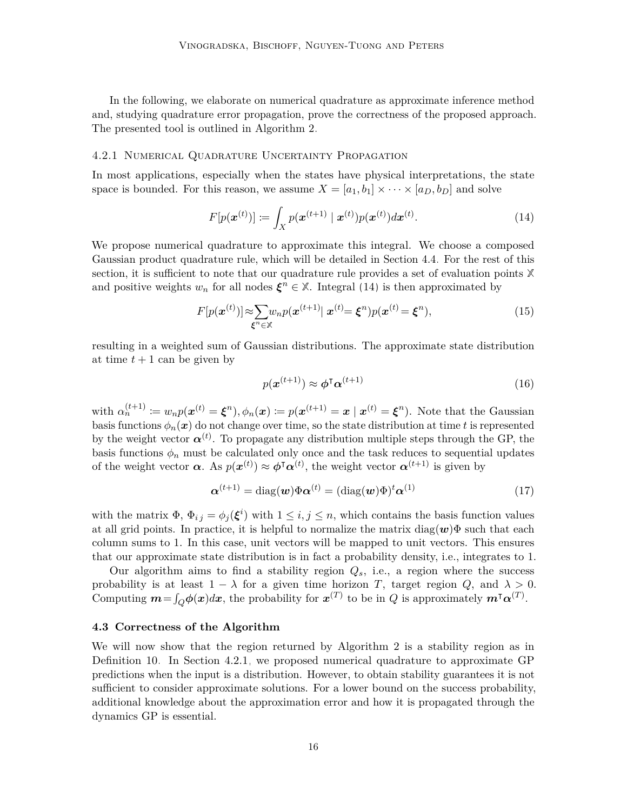In the following, we elaborate on numerical quadrature as approximate inference method and, studying quadrature error propagation, prove the correctness of the proposed approach. The presented tool is outlined in Algorithm [2.](#page-14-0)

### <span id="page-15-0"></span>4.2.1 Numerical Quadrature Uncertainty Propagation

In most applications, especially when the states have physical interpretations, the state space is bounded. For this reason, we assume  $X = [a_1, b_1] \times \cdots \times [a_D, b_D]$  and solve

<span id="page-15-1"></span>
$$
F[p(\mathbf{x}^{(t)})] := \int_{X} p(\mathbf{x}^{(t+1)} | \mathbf{x}^{(t)}) p(\mathbf{x}^{(t)}) d\mathbf{x}^{(t)}.
$$
 (14)

We propose numerical quadrature to approximate this integral. We choose a composed Gaussian product quadrature rule, which will be detailed in Section [4.4.](#page-17-1) For the rest of this section, it is sufficient to note that our quadrature rule provides a set of evaluation points **X** and positive weights  $w_n$  for all nodes  $\xi^n \in \mathbb{X}$ . Integral [\(14\)](#page-15-1) is then approximated by

$$
F[p(\boldsymbol{x}^{(t)})] \approx \sum_{\boldsymbol{\xi}^n \in \mathbb{X}} w_n p(\boldsymbol{x}^{(t+1)} | \boldsymbol{x}^{(t)} = \boldsymbol{\xi}^n) p(\boldsymbol{x}^{(t)} = \boldsymbol{\xi}^n),
$$
\n(15)

resulting in a weighted sum of Gaussian distributions. The approximate state distribution at time  $t + 1$  can be given by

<span id="page-15-5"></span><span id="page-15-4"></span><span id="page-15-2"></span>
$$
p(\boldsymbol{x}^{(t+1)}) \approx \boldsymbol{\phi}^{\mathsf{T}} \boldsymbol{\alpha}^{(t+1)}
$$
\n(16)

with  $\alpha_n^{(t+1)} \coloneqq w_n p(\boldsymbol{x}^{(t)} = \boldsymbol{\xi}^n), \phi_n(\boldsymbol{x}) \coloneqq p(\boldsymbol{x}^{(t+1)} = \boldsymbol{x} \mid \boldsymbol{x}^{(t)} = \boldsymbol{\xi}^n)$ . Note that the Gaussian basis functions  $\phi_n(x)$  do not change over time, so the state distribution at time *t* is represented by the weight vector  $\alpha^{(t)}$ . To propagate any distribution multiple steps through the GP, the basis functions  $\phi_n$  must be calculated only once and the task reduces to sequential updates of the weight vector  $\alpha$ . As  $p(x^{(t)}) \approx \phi^{\dagger} \alpha^{(t)}$ , the weight vector  $\alpha^{(t+1)}$  is given by

$$
\boldsymbol{\alpha}^{(t+1)} = \text{diag}(\boldsymbol{w}) \boldsymbol{\Phi} \boldsymbol{\alpha}^{(t)} = (\text{diag}(\boldsymbol{w}) \boldsymbol{\Phi})^t \boldsymbol{\alpha}^{(1)}
$$
(17)

with the matrix  $\Phi$ ,  $\Phi_{ij} = \phi_j(\boldsymbol{\xi}^i)$  with  $1 \leq i, j \leq n$ , which contains the basis function values at all grid points. In practice, it is helpful to normalize the matrix diag $(w)\Phi$  such that each column sums to 1. In this case, unit vectors will be mapped to unit vectors. This ensures that our approximate state distribution is in fact a probability density, i.e., integrates to 1.

Our algorithm aims to find a stability region  $Q_s$ , i.e., a region where the success probability is at least  $1 - \lambda$  for a given time horizon *T*, target region *Q*, and  $\lambda > 0$ . Computing  $m = \int_Q \phi(x) dx$ , the probability for  $x^{(T)}$  to be in *Q* is approximately  $m^{\dagger} \alpha^{(T)}$ .

### <span id="page-15-3"></span>**4.3 Correctness of the Algorithm**

We will now show that the region returned by Algorithm [2](#page-14-0) is a stability region as in Definition [10.](#page-13-2) In Section [4.2.1,](#page-15-0) we proposed numerical quadrature to approximate GP predictions when the input is a distribution. However, to obtain stability guarantees it is not sufficient to consider approximate solutions. For a lower bound on the success probability, additional knowledge about the approximation error and how it is propagated through the dynamics GP is essential.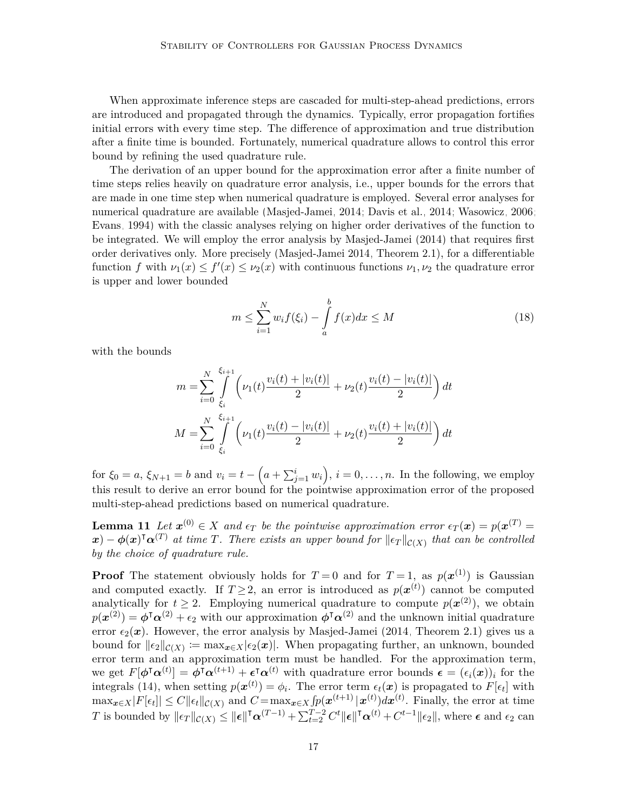When approximate inference steps are cascaded for multi-step-ahead predictions, errors are introduced and propagated through the dynamics. Typically, error propagation fortifies initial errors with every time step. The difference of approximation and true distribution after a finite time is bounded. Fortunately, numerical quadrature allows to control this error bound by refining the used quadrature rule.

The derivation of an upper bound for the approximation error after a finite number of time steps relies heavily on quadrature error analysis, i.e., upper bounds for the errors that are made in one time step when numerical quadrature is employed. Several error analyses for numerical quadrature are available [\(Masjed-Jamei, 2014;](#page-34-13) [Davis et al., 2014;](#page-33-8) [Wasowicz, 2006;](#page-36-7) [Evans, 1994\)](#page-33-9) with the classic analyses relying on higher order derivatives of the function to be integrated. We will employ the error analysis by [Masjed-Jamei](#page-34-13) [\(2014\)](#page-34-13) that requires first order derivatives only. More precisely [\(Masjed-Jamei 2014,](#page-34-13) Theorem 2.1), for a differentiable function *f* with  $\nu_1(x) \le f'(x) \le \nu_2(x)$  with continuous functions  $\nu_1, \nu_2$  the quadrature error is upper and lower bounded

<span id="page-16-1"></span><span id="page-16-0"></span>
$$
m \le \sum_{i=1}^{N} w_i f(\xi_i) - \int_{a}^{b} f(x) dx \le M \tag{18}
$$

with the bounds

$$
m = \sum_{i=0}^{N} \int_{\xi_i}^{\xi_{i+1}} \left( \nu_1(t) \frac{v_i(t) + |v_i(t)|}{2} + \nu_2(t) \frac{v_i(t) - |v_i(t)|}{2} \right) dt
$$
  

$$
M = \sum_{i=0}^{N} \int_{\xi_i}^{\xi_{i+1}} \left( \nu_1(t) \frac{v_i(t) - |v_i(t)|}{2} + \nu_2(t) \frac{v_i(t) + |v_i(t)|}{2} \right) dt
$$

for  $\xi_0 = a$ ,  $\xi_{N+1} = b$  and  $v_i = t - \left(a + \sum_{j=1}^i w_i\right)$ ,  $i = 0, \ldots, n$ . In the following, we employ this result to derive an error bound for the pointwise approximation error of the proposed multi-step-ahead predictions based on numerical quadrature.

**Lemma 11** Let  $\mathbf{x}^{(0)} \in X$  and  $\epsilon_T$  be the pointwise approximation error  $\epsilon_T(\mathbf{x}) = p(\mathbf{x}^{(T)} =$  $f(x) - \phi(x)^\mathsf{T} \alpha^{(T)}$  *at time T. There exists an upper bound for*  $\|\epsilon_T\|_{\mathcal{C}(X)}$  *that can be controlled by the choice of quadrature rule.*

**Proof** The statement obviously holds for  $T = 0$  and for  $T = 1$ , as  $p(x^{(1)})$  is Gaussian and computed exactly. If  $T \geq 2$ , an error is introduced as  $p(x^{(t)})$  cannot be computed analytically for  $t \geq 2$ . Employing numerical quadrature to compute  $p(\mathbf{x}^{(2)})$ , we obtain  $p(\boldsymbol{x}^{(2)}) = \boldsymbol{\phi}^{\mathsf{T}} \boldsymbol{\alpha}^{(2)} + \epsilon_2$  with our approximation  $\boldsymbol{\phi}^{\mathsf{T}} \boldsymbol{\alpha}^{(2)}$  and the unknown initial quadrature error  $\epsilon_2(\mathbf{x})$ . However, the error analysis by [Masjed-Jamei](#page-34-13) [\(2014,](#page-34-13) Theorem 2.1) gives us a bound for  $\|\epsilon_2\|_{\mathcal{C}(X)} \coloneqq \max_{x \in X} |\epsilon_2(x)|$ . When propagating further, an unknown, bounded error term and an approximation term must be handled. For the approximation term, we get  $F[\phi^{\dagger} \alpha^{(t)}] = \phi^{\dagger} \alpha^{(t+1)} + \epsilon^{\dagger} \alpha^{(t)}$  with quadrature error bounds  $\epsilon = (\epsilon_i(x))_i$  for the integrals [\(14\)](#page-15-1), when setting  $p(x^{(t)}) = \phi_i$ . The error term  $\epsilon_t(x)$  is propagated to  $F[\epsilon_t]$  with  $\max_{x \in X} |F[\epsilon_t]| \le C \|\epsilon_t\|_{\mathcal{C}(X)}$  and  $C = \max_{x \in X} \int p(x^{(t+1)} |x^{(t)}) dx^{(t)}$ . Finally, the error at time *T* is bounded by  $||\epsilon_T||_{C(X)} \leq ||\epsilon||^{\mathsf{T}} \alpha^{(T-1)} + \sum_{t=2}^{T-2} C^t ||\epsilon||^{\mathsf{T}} \alpha^{(t)} + C^{t-1} ||\epsilon_2||$ , where  $\epsilon$  and  $\epsilon_2$  can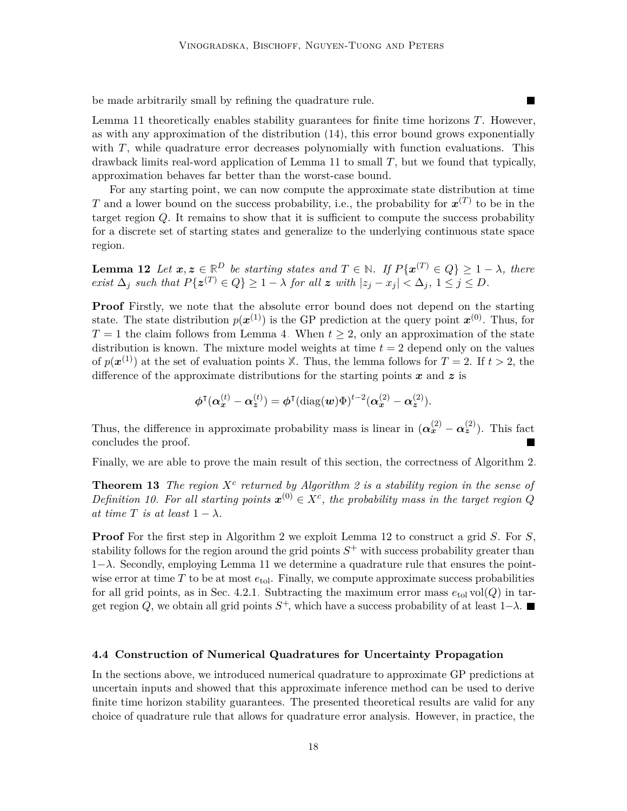be made arbitrarily small by refining the quadrature rule.

Lemma [11](#page-16-1) theoretically enables stability guarantees for finite time horizons *T*. However, as with any approximation of the distribution [\(14\)](#page-15-1), this error bound grows exponentially with *T*, while quadrature error decreases polynomially with function evaluations. This drawback limits real-word application of Lemma [11](#page-16-1) to small *T*, but we found that typically, approximation behaves far better than the worst-case bound.

**In the Second State** 

For any starting point, we can now compute the approximate state distribution at time *T* and a lower bound on the success probability, i.e., the probability for  $x^{(T)}$  to be in the target region *Q*. It remains to show that it is sufficient to compute the success probability for a discrete set of starting states and generalize to the underlying continuous state space region.

<span id="page-17-0"></span>**Lemma 12** *Let*  $x, z \in \mathbb{R}^D$  *be starting states and*  $T \in \mathbb{N}$ *. If*  $P\{x^{(T)} \in Q\} \geq 1 - \lambda$ *, there* exist  $\Delta_j$  such that  $P\{z^{(T)} \in Q\} \geq 1 - \lambda$  for all z with  $|z_j - x_j| < \Delta_j$ ,  $1 \leq j \leq D$ .

**Proof** Firstly, we note that the absolute error bound does not depend on the starting state. The state distribution  $p(\mathbf{x}^{(1)})$  is the GP prediction at the query point  $\mathbf{x}^{(0)}$ . Thus, for  $T = 1$  the claim follows from Lemma [4.](#page-9-0) When  $t \geq 2$ , only an approximation of the state distribution is known. The mixture model weights at time  $t = 2$  depend only on the values of  $p(\mathbf{x}^{(1)})$  at the set of evaluation points **X**. Thus, the lemma follows for  $T = 2$ . If  $t > 2$ , the difference of the approximate distributions for the starting points  $x$  and  $z$  is

$$
\boldsymbol{\phi}^{\intercal}(\boldsymbol{\alpha}_x^{(t)} - \boldsymbol{\alpha}_z^{(t)}) = \boldsymbol{\phi}^{\intercal}(\text{diag}(\boldsymbol{w})\boldsymbol{\Phi})^{t-2}(\boldsymbol{\alpha}_x^{(2)} - \boldsymbol{\alpha}_z^{(2)}).
$$

Thus, the difference in approximate probability mass is linear in  $(\alpha_x^{(2)} - \alpha_z^{(2)})$ . This fact concludes the proof.

Finally, we are able to prove the main result of this section, the correctness of Algorithm [2.](#page-14-0)

**Theorem 13** *The region*  $X^c$  *returned by Algorithm* [2](#page-14-0) *is a stability region in the sense of Definition* [10.](#page-13-2) For all starting points  $x^{(0)} \in X^c$ , the probability mass in the target region Q *at time T is at least*  $1 - \lambda$ *.* 

**Proof** For the first step in Algorithm [2](#page-14-0) we exploit Lemma [12](#page-17-0) to construct a grid *S*. For *S*, stability follows for the region around the grid points  $S^+$  with success probability greater than 1−*λ*. Secondly, employing Lemma [11](#page-16-1) we determine a quadrature rule that ensures the pointwise error at time *T* to be at most *e*tol. Finally, we compute approximate success probabilities for all grid points, as in Sec. [4.2.1.](#page-15-0) Subtracting the maximum error mass  $e_{tol}$  vol $(Q)$  in target region *Q*, we obtain all grid points  $S^+$ , which have a success probability of at least  $1-\lambda$ .

### <span id="page-17-1"></span>**4.4 Construction of Numerical Quadratures for Uncertainty Propagation**

In the sections above, we introduced numerical quadrature to approximate GP predictions at uncertain inputs and showed that this approximate inference method can be used to derive finite time horizon stability guarantees. The presented theoretical results are valid for any choice of quadrature rule that allows for quadrature error analysis. However, in practice, the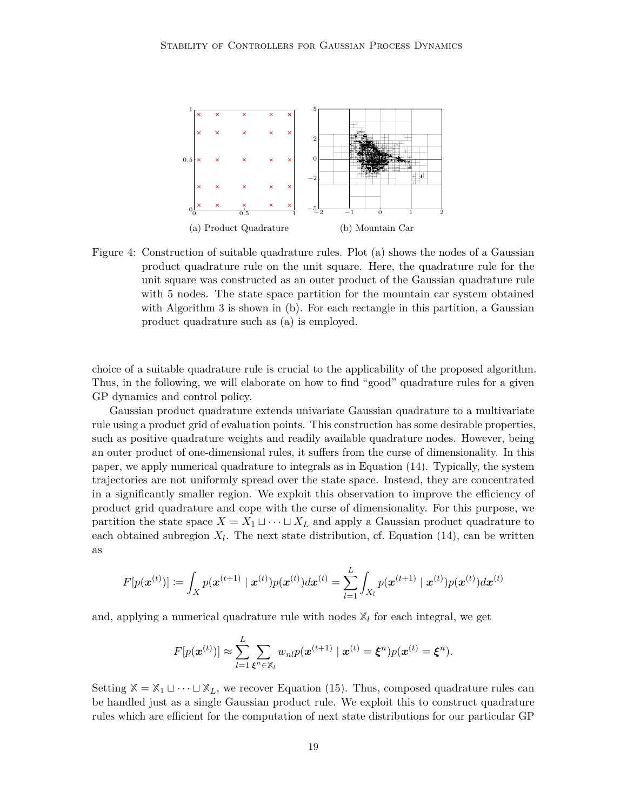<span id="page-18-0"></span>

Figure 4: Construction of suitable quadrature rules. Plot (a) shows the nodes of a Gaussian product quadrature rule on the unit square. Here, the quadrature rule for the unit square was constructed as an outer product of the Gaussian quadrature rule with 5 nodes. The state space partition for the mountain car system obtained with Algorithm [3](#page-19-0) is shown in (b). For each rectangle in this partition, a Gaussian product quadrature such as (a) is employed.

choice of a suitable quadrature rule is crucial to the applicability of the proposed algorithm. Thus, in the following, we will elaborate on how to find "good" quadrature rules for a given GP dynamics and control policy.

Gaussian product quadrature extends univariate Gaussian quadrature to a multivariate rule using a product grid of evaluation points. This construction has some desirable properties, such as positive quadrature weights and readily available quadrature nodes. However, being an outer product of one-dimensional rules, it suffers from the curse of dimensionality. In this paper, we apply numerical quadrature to integrals as in Equation [\(14\)](#page-15-1). Typically, the system trajectories are not uniformly spread over the state space. Instead, they are concentrated in a significantly smaller region. We exploit this observation to improve the efficiency of product grid quadrature and cope with the curse of dimensionality. For this purpose, we partition the state space  $X = X_1 \sqcup \cdots \sqcup X_L$  and apply a Gaussian product quadrature to each obtained subregion  $X_l$ . The next state distribution, cf. Equation  $(14)$ , can be written as

$$
F[p(\boldsymbol{x}^{(t)})] \coloneqq \int_{X} p(\boldsymbol{x}^{(t+1)} \mid \boldsymbol{x}^{(t)}) p(\boldsymbol{x}^{(t)}) d\boldsymbol{x}^{(t)} = \sum_{l=1}^{L} \int_{X_l} p(\boldsymbol{x}^{(t+1)} \mid \boldsymbol{x}^{(t)}) p(\boldsymbol{x}^{(t)}) d\boldsymbol{x}^{(t)}
$$

and, applying a numerical quadrature rule with nodes  $\mathbb{X}_l$  for each integral, we get

$$
F[p(\boldsymbol{x}^{(t)})] \approx \sum_{l=1}^{L} \sum_{\boldsymbol{\xi}^n \in \mathbb{X}_l} w_{nl} p(\boldsymbol{x}^{(t+1)} \mid \boldsymbol{x}^{(t)} = \boldsymbol{\xi}^n) p(\boldsymbol{x}^{(t)} = \boldsymbol{\xi}^n).
$$

Setting  $\mathbb{X} = \mathbb{X}_1 \cup \cdots \cup \mathbb{X}_L$ , we recover Equation [\(15\)](#page-15-2). Thus, composed quadrature rules can be handled just as a single Gaussian product rule. We exploit this to construct quadrature rules which are efficient for the computation of next state distributions for our particular GP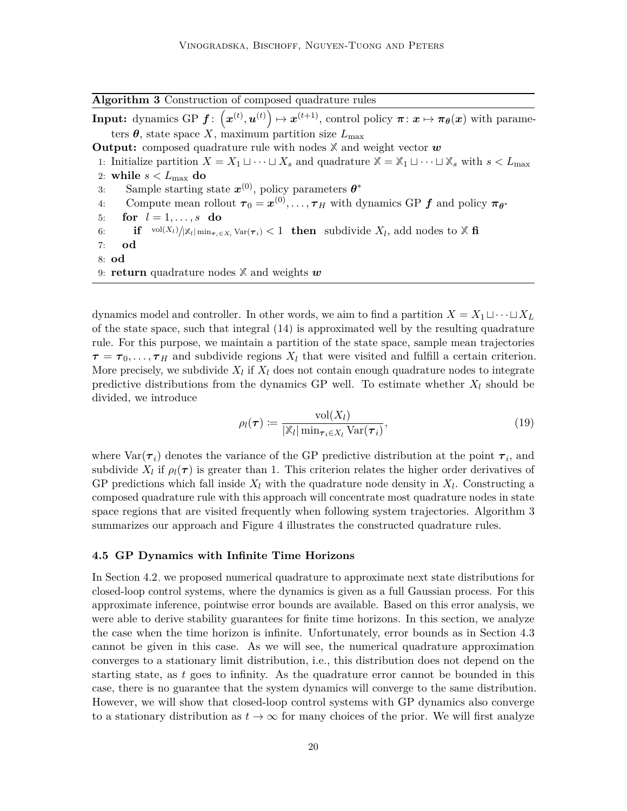<span id="page-19-0"></span>

|  |  |  | Algorithm 3 Construction of composed quadrature rules |
|--|--|--|-------------------------------------------------------|
|--|--|--|-------------------------------------------------------|

**Input:** dynamics GP  $f: (x^{(t)}, u^{(t)}) \mapsto x^{(t+1)}$ , control policy  $\pi: x \mapsto \pi_{\theta}(x)$  with parameters  $\theta$ , state space *X*, maximum partition size  $L_{\text{max}}$ 

**Output:** composed quadrature rule with nodes **X** and weight vector *w*

1: Initialize partition  $X = X_1 \sqcup \cdots \sqcup X_s$  and quadrature  $\mathbb{X} = \mathbb{X}_1 \sqcup \cdots \sqcup \mathbb{X}_s$  with  $s < L_{\text{max}}$ 2: while  $s < L_{\text{max}}$  do

3: Sample starting state  $x^{(0)}$ , policy parameters  $θ^*$ 

4: Compute mean rollout  $\boldsymbol{\tau}_0 = \boldsymbol{x}^{(0)}, \dots, \boldsymbol{\tau}_H$  with dynamics GP  $\boldsymbol{f}$  and policy  $\boldsymbol{\pi}_{\boldsymbol{\theta}^*}$ 

```
5: for l = 1, . . . , s do
```

```
6: if \text{vol}(X_l)/|\mathbb{X}_l| \min_{\tau_i \in X_l} \text{Var}(\tau_i) < 1 then subdivide X_l, add nodes to X fi
```
- 7: **od**
- 8: **od**

9: **return** quadrature nodes **X** and weights *w*

dynamics model and controller. In other words, we aim to find a partition  $X = X_1 \sqcup \cdots \sqcup X_L$ of the state space, such that integral [\(14\)](#page-15-1) is approximated well by the resulting quadrature rule. For this purpose, we maintain a partition of the state space, sample mean trajectories  $\tau = \tau_0, \ldots, \tau_H$  and subdivide regions  $X_l$  that were visited and fulfill a certain criterion. More precisely, we subdivide  $X_l$  if  $X_l$  does not contain enough quadrature nodes to integrate predictive distributions from the dynamics GP well. To estimate whether  $X_l$  should be divided, we introduce

$$
\rho_l(\tau) := \frac{\text{vol}(X_l)}{|\mathbb{X}_l| \min_{\tau_i \in X_l} \text{Var}(\tau_i)},\tag{19}
$$

where  $\text{Var}(\tau_i)$  denotes the variance of the GP predictive distribution at the point  $\tau_i$ , and subdivide  $X_l$  if  $\rho_l(\tau)$  is greater than 1. This criterion relates the higher order derivatives of GP predictions which fall inside  $X_l$  with the quadrature node density in  $X_l$ . Constructing a composed quadrature rule with this approach will concentrate most quadrature nodes in state space regions that are visited frequently when following system trajectories. Algorithm [3](#page-19-0) summarizes our approach and Figure [4](#page-18-0) illustrates the constructed quadrature rules.

#### **4.5 GP Dynamics with Infinite Time Horizons**

In Section [4.2,](#page-14-1) we proposed numerical quadrature to approximate next state distributions for closed-loop control systems, where the dynamics is given as a full Gaussian process. For this approximate inference, pointwise error bounds are available. Based on this error analysis, we were able to derive stability guarantees for finite time horizons. In this section, we analyze the case when the time horizon is infinite. Unfortunately, error bounds as in Section [4.3](#page-15-3) cannot be given in this case. As we will see, the numerical quadrature approximation converges to a stationary limit distribution, i.e., this distribution does not depend on the starting state, as *t* goes to infinity. As the quadrature error cannot be bounded in this case, there is no guarantee that the system dynamics will converge to the same distribution. However, we will show that closed-loop control systems with GP dynamics also converge to a stationary distribution as  $t \to \infty$  for many choices of the prior. We will first analyze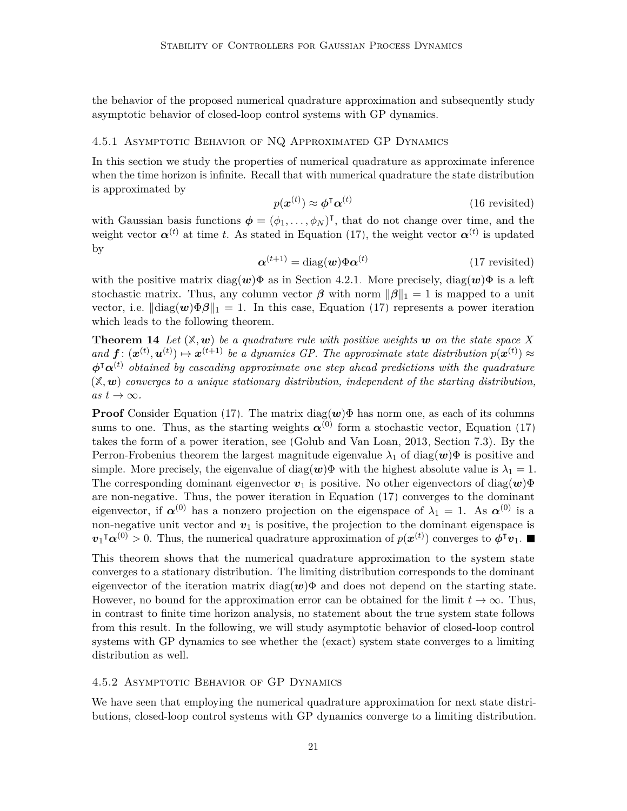the behavior of the proposed numerical quadrature approximation and subsequently study asymptotic behavior of closed-loop control systems with GP dynamics.

## 4.5.1 Asymptotic Behavior of NQ Approximated GP Dynamics

In this section we study the properties of numerical quadrature as approximate inference when the time horizon is infinite. Recall that with numerical quadrature the state distribution is approximated by

$$
p(\mathbf{x}^{(t)}) \approx \phi^{\mathsf{T}} \alpha^{(t)} \tag{16 \text{ revisited}}
$$

with Gaussian basis functions  $\boldsymbol{\phi} = (\phi_1, \dots, \phi_N)^\mathsf{T}$ , that do not change over time, and the weight vector  $\alpha^{(t)}$  at time *t*. As stated in Equation [\(17\)](#page-15-5), the weight vector  $\alpha^{(t)}$  is updated by

$$
\boldsymbol{\alpha}^{(t+1)} = \text{diag}(\boldsymbol{w}) \boldsymbol{\Phi} \boldsymbol{\alpha}^{(t)} \tag{17 \text{ revisited}}
$$

with the positive matrix diag( $w$ ) $\Phi$  as in Section [4.2.1.](#page-15-0) More precisely, diag( $w$ ) $\Phi$  is a left stochastic matrix. Thus, any column vector  $\beta$  with norm  $\|\beta\|_1 = 1$  is mapped to a unit vector, i.e.  $\|\text{diag}(\boldsymbol{w})\Phi\beta\|_1 = 1$ . In this case, Equation [\(17\)](#page-15-5) represents a power iteration which leads to the following theorem.

**Theorem 14** Let  $(X, w)$  be a quadrature rule with positive weights **w** on the state space X and  $f: (\mathbf{x}^{(t)}, \mathbf{u}^{(t)}) \mapsto \mathbf{x}^{(t+1)}$  be a dynamics GP. The approximate state distribution  $p(\mathbf{x}^{(t)}) \approx$ *φ* <sup>|</sup>*α*(*t*) *obtained by cascading approximate one step ahead predictions with the quadrature* (**X***, w*) *converges to a unique stationary distribution, independent of the starting distribution,*  $as t \rightarrow \infty$ .

**Proof** Consider Equation [\(17\)](#page-15-5). The matrix diag( $w$ ) $\Phi$  has norm one, as each of its columns sums to one. Thus, as the starting weights  $\alpha^{(0)}$  form a stochastic vector, Equation [\(17\)](#page-15-5) takes the form of a power iteration, see [\(Golub and Van Loan, 2013,](#page-33-10) Section 7.3). By the Perron-Frobenius theorem the largest magnitude eigenvalue  $\lambda_1$  of diag( $w$ ) $\Phi$  is positive and simple. More precisely, the eigenvalue of diag $(w)\Phi$  with the highest absolute value is  $\lambda_1 = 1$ . The corresponding dominant eigenvector  $v_1$  is positive. No other eigenvectors of diag $(w)\Phi$ are non-negative. Thus, the power iteration in Equation [\(17\)](#page-15-5) converges to the dominant eigenvector, if  $\alpha^{(0)}$  has a nonzero projection on the eigenspace of  $\lambda_1 = 1$ . As  $\alpha^{(0)}$  is a non-negative unit vector and  $v_1$  is positive, the projection to the dominant eigenspace is  $v_1$ <sup>T</sup> $\alpha$ <sup>(0)</sup> > 0. Thus, the numerical quadrature approximation of  $p(x^{(t)})$  converges to  $\phi^{\dagger}v_1$ .

This theorem shows that the numerical quadrature approximation to the system state converges to a stationary distribution. The limiting distribution corresponds to the dominant eigenvector of the iteration matrix diag $(w)\Phi$  and does not depend on the starting state. However, no bound for the approximation error can be obtained for the limit  $t \to \infty$ . Thus, in contrast to finite time horizon analysis, no statement about the true system state follows from this result. In the following, we will study asymptotic behavior of closed-loop control systems with GP dynamics to see whether the (exact) system state converges to a limiting distribution as well.

## 4.5.2 Asymptotic Behavior of GP Dynamics

We have seen that employing the numerical quadrature approximation for next state distributions, closed-loop control systems with GP dynamics converge to a limiting distribution.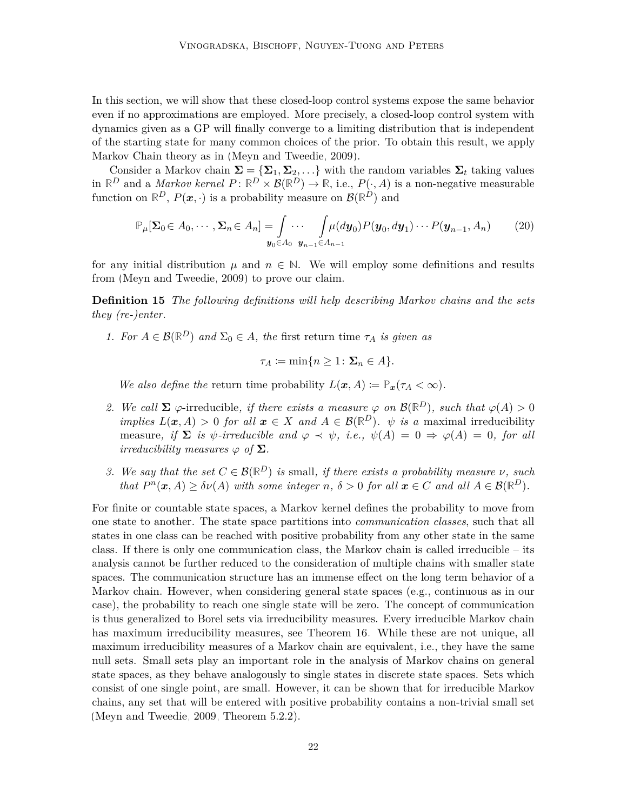In this section, we will show that these closed-loop control systems expose the same behavior even if no approximations are employed. More precisely, a closed-loop control system with dynamics given as a GP will finally converge to a limiting distribution that is independent of the starting state for many common choices of the prior. To obtain this result, we apply Markov Chain theory as in [\(Meyn and Tweedie, 2009\)](#page-34-14).

Consider a Markov chain  $\Sigma = {\Sigma_1, \Sigma_2, \ldots}$  with the random variables  $\Sigma_t$  taking values in  $\mathbb{R}^D$  and a *Markov kernel*  $P: \mathbb{R}^D \times \mathcal{B}(\mathbb{R}^D) \to \mathbb{R}$ , i.e.,  $P(\cdot, A)$  is a non-negative measurable function on  $\mathbb{R}^D$ ,  $P(\mathbf{x}, \cdot)$  is a probability measure on  $\mathcal{B}(\mathbb{R}^D)$  and

$$
\mathbb{P}_{\mu}[\Sigma_0 \in A_0, \cdots, \Sigma_n \in A_n] = \int \cdots \int \mu(dy_0) P(\mathbf{y}_0, d\mathbf{y}_1) \cdots P(\mathbf{y}_{n-1}, A_n)
$$
(20)

for any initial distribution  $\mu$  and  $n \in \mathbb{N}$ . We will employ some definitions and results from [\(Meyn and Tweedie, 2009\)](#page-34-14) to prove our claim.

**Definition 15** *The following definitions will help describing Markov chains and the sets they (re-)enter.*

*1. For*  $A \in \mathcal{B}(\mathbb{R}^D)$  *and*  $\Sigma_0 \in A$ *, the* first return time  $\tau_A$  *is given as* 

$$
\tau_A \coloneqq \min\{n \ge 1 \colon \Sigma_n \in A\}.
$$

*We also define the* return time probability  $L(\mathbf{x}, A) \coloneqq \mathbb{P}_x(\tau_A < \infty)$ *.* 

- 2. We call  $\Sigma$   $\varphi$ -irreducible, if there exists a measure  $\varphi$  on  $\mathcal{B}(\mathbb{R}^D)$ , such that  $\varphi(A) > 0$ *implies*  $L(\mathbf{x}, A) > 0$  *for all*  $\mathbf{x} \in X$  *and*  $A \in \mathcal{B}(\mathbb{R}^D)$ *.*  $\psi$  *is a* maximal irreducibility measure, if  $\Sigma$  is  $\psi$ -irreducible and  $\varphi \prec \psi$ , i.e.,  $\psi(A) = 0 \Rightarrow \varphi(A) = 0$ , for all *irreducibility measures*  $\varphi$  *of*  $\Sigma$ *.*
- *3.* We say that the set  $C \in \mathcal{B}(\mathbb{R}^D)$  is small, if there exists a probability measure  $\nu$ , such *that*  $P^{n}(\mathbf{x}, A) \geq \delta \nu(A)$  *with some integer n,*  $\delta > 0$  *for all*  $\mathbf{x} \in C$  *and all*  $A \in \mathcal{B}(\mathbb{R}^D)$ *.*

<span id="page-21-0"></span>For finite or countable state spaces, a Markov kernel defines the probability to move from one state to another. The state space partitions into *communication classes*, such that all states in one class can be reached with positive probability from any other state in the same class. If there is only one communication class, the Markov chain is called irreducible – its analysis cannot be further reduced to the consideration of multiple chains with smaller state spaces. The communication structure has an immense effect on the long term behavior of a Markov chain. However, when considering general state spaces (e.g., continuous as in our case), the probability to reach one single state will be zero. The concept of communication is thus generalized to Borel sets via irreducibility measures. Every irreducible Markov chain has maximum irreducibility measures, see Theorem [16.](#page-21-0) While these are not unique, all maximum irreducibility measures of a Markov chain are equivalent, i.e., they have the same null sets. Small sets play an important role in the analysis of Markov chains on general state spaces, as they behave analogously to single states in discrete state spaces. Sets which consist of one single point, are small. However, it can be shown that for irreducible Markov chains, any set that will be entered with positive probability contains a non-trivial small set [\(Meyn and Tweedie, 2009,](#page-34-14) Theorem 5.2.2).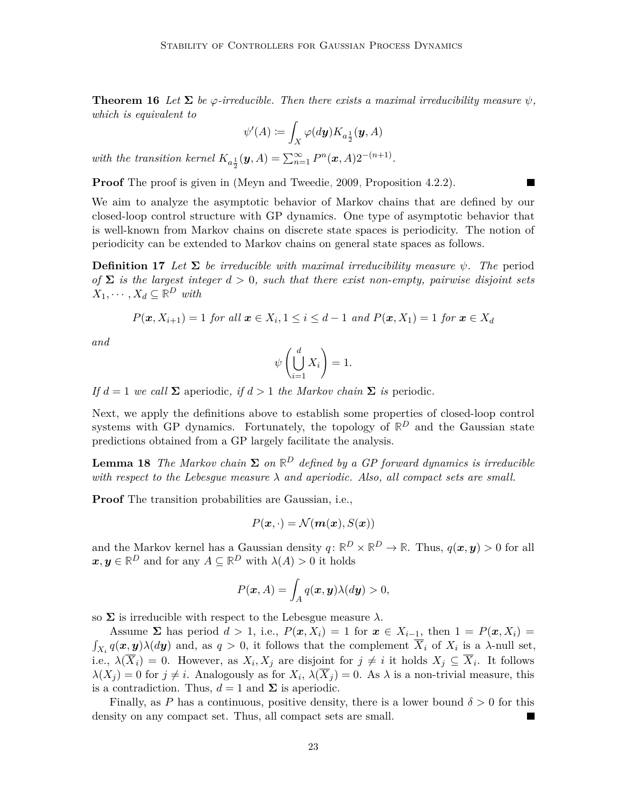**Theorem 16** Let  $\Sigma$  be  $\varphi$ -irreducible. Then there exists a maximal irreducibility measure  $\psi$ , *which is equivalent to*

$$
\psi'(A) := \int_X \varphi(d\mathbf{y}) K_{a\frac{1}{2}}(\mathbf{y}, A)
$$

*with the transition kernel*  $K_{a\frac{1}{2}}(\mathbf{y}, A) = \sum_{n=1}^{\infty} P^n(\mathbf{x}, A) 2^{-(n+1)}$ .

**Proof** The proof is given in [\(Meyn and Tweedie, 2009,](#page-34-14) Proposition 4.2.2).

We aim to analyze the asymptotic behavior of Markov chains that are defined by our closed-loop control structure with GP dynamics. One type of asymptotic behavior that is well-known from Markov chains on discrete state spaces is periodicity. The notion of periodicity can be extended to Markov chains on general state spaces as follows.

**Definition 17** Let  $\Sigma$  be irreducible with maximal irreducibility measure  $\psi$ . The period *of* **Σ** *is the largest integer d >* 0*, such that there exist non-empty, pairwise disjoint sets*  $X_1, \cdots, X_d \subseteq \mathbb{R}^D$  *with* 

$$
P(\boldsymbol{x}, X_{i+1}) = 1 \text{ for all } \boldsymbol{x} \in X_i, 1 \leq i \leq d-1 \text{ and } P(\boldsymbol{x}, X_1) = 1 \text{ for } \boldsymbol{x} \in X_d
$$

*and*

$$
\psi\left(\bigcup_{i=1}^d X_i\right) = 1.
$$

*If*  $d = 1$  *we call*  $\Sigma$  aperiodic, if  $d > 1$  *the Markov chain*  $\Sigma$  *is* periodic.

Next, we apply the definitions above to establish some properties of closed-loop control systems with GP dynamics. Fortunately, the topology of  $\mathbb{R}^D$  and the Gaussian state predictions obtained from a GP largely facilitate the analysis.

**Lemma 18** *The Markov chain*  $\Sigma$  *on*  $\mathbb{R}^D$  *defined by a GP forward dynamics is irreducible with respect to the Lebesgue measure λ and aperiodic. Also, all compact sets are small.*

**Proof** The transition probabilities are Gaussian, i.e.,

$$
P(\boldsymbol{x},\cdot) = \mathcal{N}(\boldsymbol{m}(\boldsymbol{x}), S(\boldsymbol{x}))
$$

and the Markov kernel has a Gaussian density  $q: \mathbb{R}^D \times \mathbb{R}^D \to \mathbb{R}$ . Thus,  $q(x, y) > 0$  for all  $x, y \in \mathbb{R}^D$  and for any  $A \subseteq \mathbb{R}^D$  with  $\lambda(A) > 0$  it holds

$$
P(\boldsymbol{x},A)=\int_A q(\boldsymbol{x},\boldsymbol{y})\lambda(d\boldsymbol{y})>0,
$$

so  $\Sigma$  is irreducible with respect to the Lebesgue measure  $\lambda$ .

Assume  $\Sigma$  has period  $d > 1$ , i.e.,  $P(\mathbf{x}, X_i) = 1$  for  $\mathbf{x} \in X_{i-1}$ , then  $1 = P(\mathbf{x}, X_i) =$  $\int_{X_i} q(x, y) \lambda(dy)$  and, as  $q > 0$ , it follows that the complement  $\overline{X}_i$  of  $X_i$  is a  $\lambda$ -null set, i.e.,  $\lambda(\overline{X}_i) = 0$ . However, as  $X_i, X_j$  are disjoint for  $j \neq i$  it holds  $X_j \subseteq \overline{X}_i$ . It follows  $\lambda(X_j) = 0$  for  $j \neq i$ . Analogously as for  $X_i$ ,  $\lambda(\overline{X}_j) = 0$ . As  $\lambda$  is a non-trivial measure, this is a contradiction. Thus,  $d = 1$  and  $\Sigma$  is aperiodic.

Finally, as P has a continuous, positive density, there is a lower bound  $\delta > 0$  for this density on any compact set. Thus, all compact sets are small.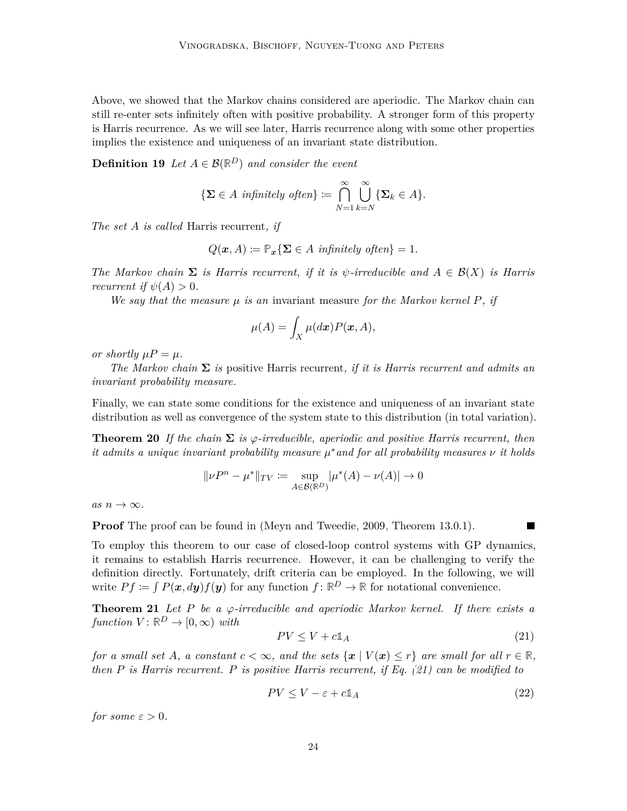Above, we showed that the Markov chains considered are aperiodic. The Markov chain can still re-enter sets infinitely often with positive probability. A stronger form of this property is Harris recurrence. As we will see later, Harris recurrence along with some other properties implies the existence and uniqueness of an invariant state distribution.

**Definition 19** *Let*  $A \in \mathcal{B}(\mathbb{R}^D)$  *and consider the event* 

$$
\{\Sigma \in A \text{ infinitely often}\} := \bigcap_{N=1}^{\infty} \bigcup_{k=N}^{\infty} \{\Sigma_k \in A\}.
$$

*The set A is called* Harris recurrent*, if*

 $Q(\mathbf{x}, A) := \mathbb{P}_{\mathbf{x}}\{\mathbf{\Sigma} \in A \text{ infinitely often}\} = 1.$ 

*The Markov chain*  $\Sigma$  *is Harris recurrent, if it is*  $\psi$ *-irreducible and*  $A \in \mathcal{B}(X)$  *is Harris recurrent if*  $\psi(A) > 0$ *.* 

*We say that the measure*  $\mu$  *is an invariant measure for the Markov kernel P, if* 

$$
\mu(A) = \int_X \mu(dx) P(x, A),
$$

*or shortly*  $\mu P = \mu$ *.* 

*The Markov chain* **Σ** *is* positive Harris recurrent*, if it is Harris recurrent and admits an invariant probability measure.*

Finally, we can state some conditions for the existence and uniqueness of an invariant state distribution as well as convergence of the system state to this distribution (in total variation).

**Theorem 20** *If the chain*  $\Sigma$  *is*  $\varphi$ -irreducible, aperiodic and positive Harris recurrent, then *it admits a unique invariant probability measure µ* <sup>∗</sup>*and for all probability measures ν it holds*

$$
\|\nu P^n-\mu^*\|_{TV}\coloneqq\sup_{A\in\mathcal{B}(\mathbb{R}^D)}|\mu^*(A)-\nu(A)|\to 0
$$

 $as n \to \infty$ .

**Proof** The proof can be found in [\(Meyn and Tweedie, 2009,](#page-34-14) Theorem 13.0.1).

To employ this theorem to our case of closed-loop control systems with GP dynamics, it remains to establish Harris recurrence. However, it can be challenging to verify the definition directly. Fortunately, drift criteria can be employed. In the following, we will write  $Pf := \int P(x, dy) f(y)$  for any function  $f: \mathbb{R}^D \to \mathbb{R}$  for notational convenience.

**Theorem 21** *Let P be a ϕ-irreducible and aperiodic Markov kernel. If there exists a function*  $V: \mathbb{R}^D \to [0, \infty)$  *with* 

<span id="page-23-0"></span>
$$
PV \le V + c\mathbb{1}_A \tag{21}
$$

*for a small set A*, *a constant*  $c < \infty$ *, and the sets*  $\{x \mid V(x) \leq r\}$  *are small for all*  $r \in \mathbb{R}$ *, then P is Harris recurrent. P is positive Harris recurrent, if Eq. [\(21\)](#page-23-0) can be modified to*

$$
PV \le V - \varepsilon + c \mathbb{1}_A \tag{22}
$$

*for some*  $\varepsilon > 0$ *.*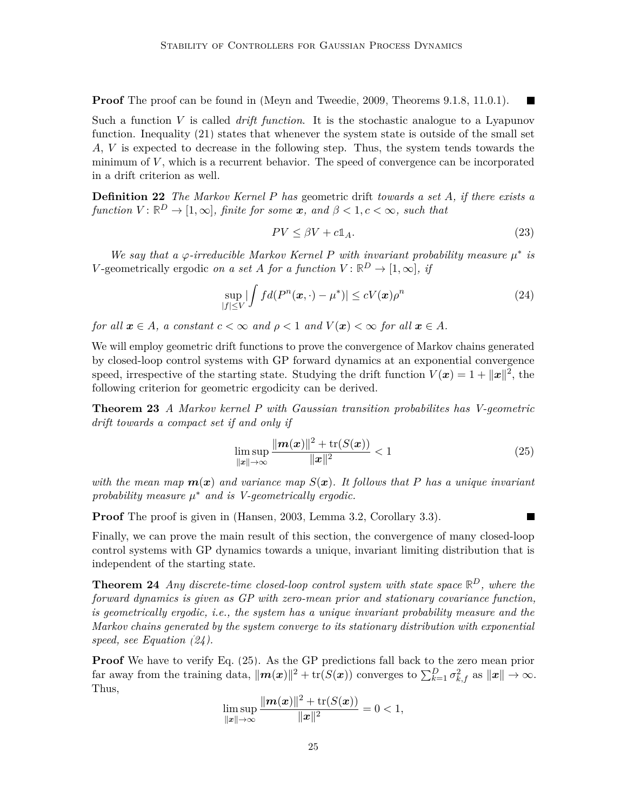**Proof** The proof can be found in [\(Meyn and Tweedie, 2009,](#page-34-14) Theorems 9.1.8, 11.0.1). **The Co** 

Such a function *V* is called *drift function*. It is the stochastic analogue to a Lyapunov function. Inequality [\(21\)](#page-23-0) states that whenever the system state is outside of the small set *A*, *V* is expected to decrease in the following step. Thus, the system tends towards the minimum of  $V$ , which is a recurrent behavior. The speed of convergence can be incorporated in a drift criterion as well.

**Definition 22** *The Markov Kernel P has* geometric drift *towards a set A, if there exists a*  $function V: \mathbb{R}^D \to [1,\infty]$ *, finite for some x,* and  $\beta < 1, c < \infty$ *, such that* 

<span id="page-24-0"></span>
$$
PV \leq \beta V + c \mathbb{1}_A. \tag{23}
$$

*We say that a*  $\varphi$ *-irreducible Markov Kernel P with invariant probability measure*  $\mu^*$  *is V*-geometrically ergodic *on a set A for a function*  $V: \mathbb{R}^D \to [1, \infty]$ *, if* 

$$
\sup_{|f| \le V} |\int f d(P^n(\boldsymbol{x}, \cdot) - \mu^*)| \le cV(\boldsymbol{x})\rho^n \tag{24}
$$

*for all*  $x \in A$ *, a constant*  $c < \infty$  *and*  $\rho < 1$  *and*  $V(x) < \infty$  *for all*  $x \in A$ *.* 

We will employ geometric drift functions to prove the convergence of Markov chains generated by closed-loop control systems with GP forward dynamics at an exponential convergence speed, irrespective of the starting state. Studying the drift function  $V(\mathbf{x}) = 1 + ||\mathbf{x}||^2$ , the following criterion for geometric ergodicity can be derived.

**Theorem 23** *A Markov kernel P with Gaussian transition probabilites has V-geometric drift towards a compact set if and only if*

<span id="page-24-1"></span>
$$
\limsup_{\|x\| \to \infty} \frac{\|m(x)\|^2 + \text{tr}(S(x))}{\|x\|^2} < 1 \tag{25}
$$

П

*with the mean map*  $m(x)$  *and variance map*  $S(x)$ *. It follows that P has a unique invariant probability measure µ* <sup>∗</sup> *and is V-geometrically ergodic.*

**Proof** The proof is given in [\(Hansen, 2003,](#page-33-11) Lemma 3.2, Corollary 3.3).

Finally, we can prove the main result of this section, the convergence of many closed-loop control systems with GP dynamics towards a unique, invariant limiting distribution that is independent of the starting state.

**Theorem 24** *Any discrete-time closed-loop control system with state space* **R** *<sup>D</sup>, where the forward dynamics is given as GP with zero-mean prior and stationary covariance function, is geometrically ergodic, i.e., the system has a unique invariant probability measure and the Markov chains generated by the system converge to its stationary distribution with exponential speed, see Equation [\(24\)](#page-24-0).*

**Proof** We have to verify Eq. [\(25\)](#page-24-1). As the GP predictions fall back to the zero mean prior  $\int \int f(x) \, dx$  for the training data,  $\|\mathbf{m}(\mathbf{x})\|^2 + \text{tr}(S(\mathbf{x}))$  converges to  $\sum_{k=1}^D \sigma_{k,f}^2$  as  $\|\mathbf{x}\| \to \infty$ . Thus,

$$
\limsup_{\|{\bm x}\|\to\infty}\frac{\|{\bm m}({\bm x})\|^2+{\rm tr}(S({\bm x}))}{\|{\bm x}\|^2}=0<1,
$$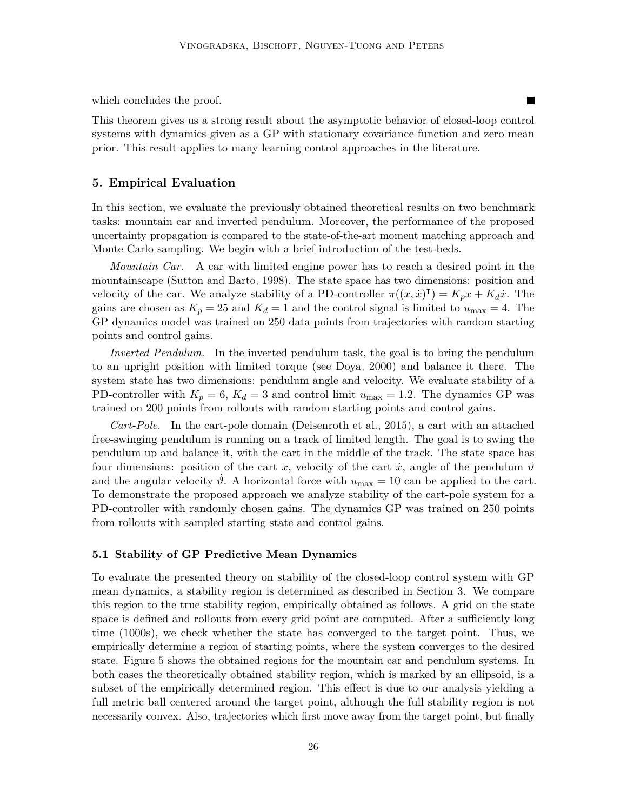which concludes the proof.

This theorem gives us a strong result about the asymptotic behavior of closed-loop control systems with dynamics given as a GP with stationary covariance function and zero mean prior. This result applies to many learning control approaches in the literature.

**The Second Service** 

## <span id="page-25-0"></span>**5. Empirical Evaluation**

In this section, we evaluate the previously obtained theoretical results on two benchmark tasks: mountain car and inverted pendulum. Moreover, the performance of the proposed uncertainty propagation is compared to the state-of-the-art moment matching approach and Monte Carlo sampling. We begin with a brief introduction of the test-beds.

*Mountain Car.* A car with limited engine power has to reach a desired point in the mountainscape [\(Sutton and Barto, 1998\)](#page-36-8). The state space has two dimensions: position and velocity of the car. We analyze stability of a PD-controller  $\pi((x, \dot{x})^{\dagger}) = K_p x + K_d \dot{x}$ . The gains are chosen as  $K_p = 25$  and  $K_d = 1$  and the control signal is limited to  $u_{\text{max}} = 4$ . The GP dynamics model was trained on 250 data points from trajectories with random starting points and control gains.

*Inverted Pendulum.* In the inverted pendulum task, the goal is to bring the pendulum to an upright position with limited torque (see [Doya, 2000\)](#page-33-12) and balance it there. The system state has two dimensions: pendulum angle and velocity. We evaluate stability of a PD-controller with  $K_p = 6$ ,  $K_d = 3$  and control limit  $u_{\text{max}} = 1.2$ . The dynamics GP was trained on 200 points from rollouts with random starting points and control gains.

*Cart-Pole.* In the cart-pole domain [\(Deisenroth et al., 2015\)](#page-33-0), a cart with an attached free-swinging pendulum is running on a track of limited length. The goal is to swing the pendulum up and balance it, with the cart in the middle of the track. The state space has four dimensions: position of the cart *x*, velocity of the cart *x*<sup>i</sup>, angle of the pendulum  $\vartheta$ and the angular velocity  $\dot{\theta}$ . A horizontal force with  $u_{\text{max}} = 10$  can be applied to the cart. To demonstrate the proposed approach we analyze stability of the cart-pole system for a PD-controller with randomly chosen gains. The dynamics GP was trained on 250 points from rollouts with sampled starting state and control gains.

## **5.1 Stability of GP Predictive Mean Dynamics**

To evaluate the presented theory on stability of the closed-loop control system with GP mean dynamics, a stability region is determined as described in Section [3.](#page-5-0) We compare this region to the true stability region, empirically obtained as follows. A grid on the state space is defined and rollouts from every grid point are computed. After a sufficiently long time (1000s), we check whether the state has converged to the target point. Thus, we empirically determine a region of starting points, where the system converges to the desired state. Figure [5](#page-26-0) shows the obtained regions for the mountain car and pendulum systems. In both cases the theoretically obtained stability region, which is marked by an ellipsoid, is a subset of the empirically determined region. This effect is due to our analysis yielding a full metric ball centered around the target point, although the full stability region is not necessarily convex. Also, trajectories which first move away from the target point, but finally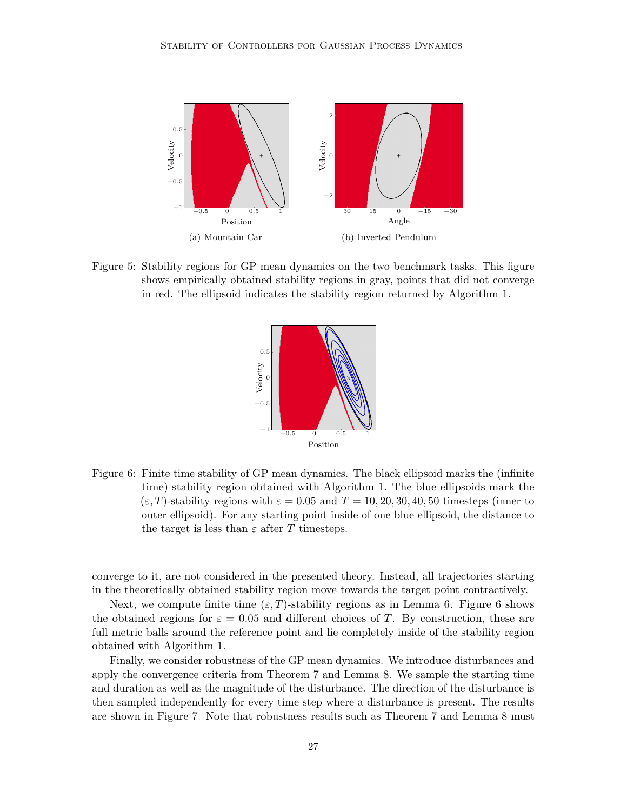<span id="page-26-0"></span>

<span id="page-26-1"></span>Figure 5: Stability regions for GP mean dynamics on the two benchmark tasks. This figure shows empirically obtained stability regions in gray, points that did not converge in red. The ellipsoid indicates the stability region returned by Algorithm [1.](#page-8-0)



Figure 6: Finite time stability of GP mean dynamics. The black ellipsoid marks the (infinite time) stability region obtained with Algorithm [1.](#page-8-0) The blue ellipsoids mark the  $(\varepsilon, T)$ -stability regions with  $\varepsilon = 0.05$  and  $T = 10, 20, 30, 40, 50$  timesteps (inner to outer ellipsoid). For any starting point inside of one blue ellipsoid, the distance to the target is less than  $\varepsilon$  after  $T$  timesteps.

converge to it, are not considered in the presented theory. Instead, all trajectories starting in the theoretically obtained stability region move towards the target point contractively.

Next, we compute finite time  $(\varepsilon, T)$ -stability regions as in Lemma [6.](#page-10-0) Figure [6](#page-26-1) shows the obtained regions for  $\varepsilon = 0.05$  and different choices of T. By construction, these are full metric balls around the reference point and lie completely inside of the stability region obtained with Algorithm [1.](#page-8-0)

Finally, we consider robustness of the GP mean dynamics. We introduce disturbances and apply the convergence criteria from Theorem [7](#page-11-4) and Lemma [8.](#page-12-0) We sample the starting time and duration as well as the magnitude of the disturbance. The direction of the disturbance is then sampled independently for every time step where a disturbance is present. The results are shown in Figure [7.](#page-27-0) Note that robustness results such as Theorem [7](#page-11-4) and Lemma [8](#page-12-0) must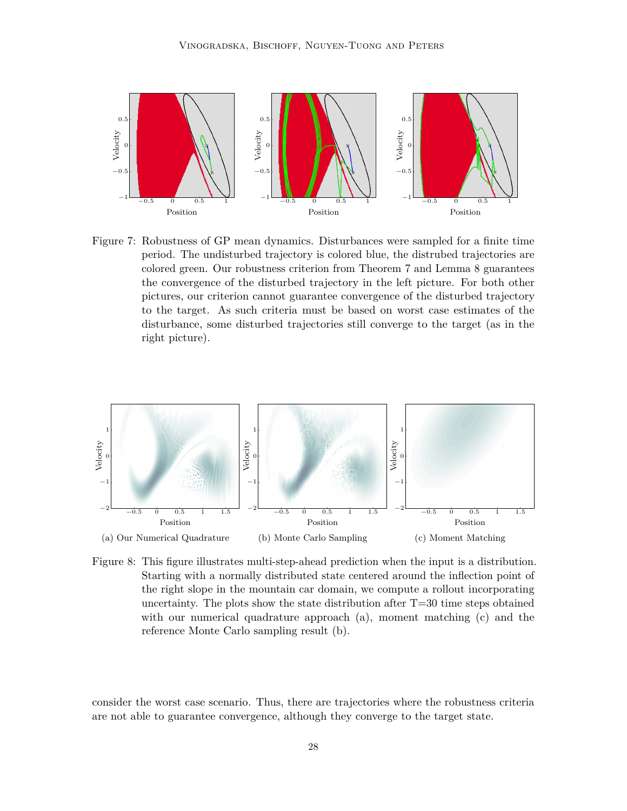<span id="page-27-0"></span>

Figure 7: Robustness of GP mean dynamics. Disturbances were sampled for a finite time period. The undisturbed trajectory is colored blue, the distrubed trajectories are colored green. Our robustness criterion from Theorem [7](#page-11-4) and Lemma [8](#page-12-0) guarantees the convergence of the disturbed trajectory in the left picture. For both other pictures, our criterion cannot guarantee convergence of the disturbed trajectory to the target. As such criteria must be based on worst case estimates of the disturbance, some disturbed trajectories still converge to the target (as in the right picture).

<span id="page-27-1"></span>

Figure 8: This figure illustrates multi-step-ahead prediction when the input is a distribution. Starting with a normally distributed state centered around the inflection point of the right slope in the mountain car domain, we compute a rollout incorporating uncertainty. The plots show the state distribution after T=30 time steps obtained with our numerical quadrature approach (a), moment matching (c) and the reference Monte Carlo sampling result (b).

consider the worst case scenario. Thus, there are trajectories where the robustness criteria are not able to guarantee convergence, although they converge to the target state.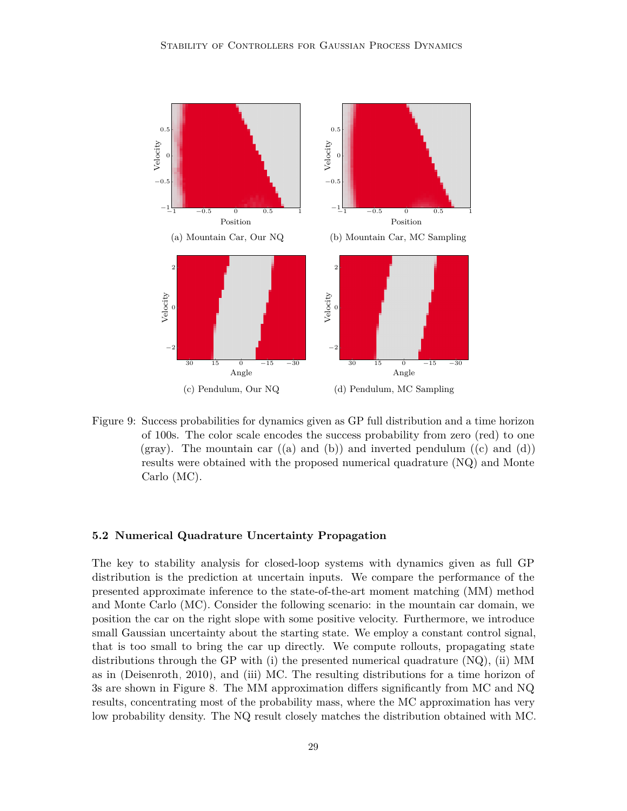<span id="page-28-0"></span>

Figure 9: Success probabilities for dynamics given as GP full distribution and a time horizon of 100s. The color scale encodes the success probability from zero (red) to one (gray). The mountain car  $((a)$  and  $(b))$  and inverted pendulum  $((c)$  and  $(d))$ results were obtained with the proposed numerical quadrature (NQ) and Monte Carlo (MC).

## **5.2 Numerical Quadrature Uncertainty Propagation**

The key to stability analysis for closed-loop systems with dynamics given as full GP distribution is the prediction at uncertain inputs. We compare the performance of the presented approximate inference to the state-of-the-art moment matching (MM) method and Monte Carlo (MC). Consider the following scenario: in the mountain car domain, we position the car on the right slope with some positive velocity. Furthermore, we introduce small Gaussian uncertainty about the starting state. We employ a constant control signal, that is too small to bring the car up directly. We compute rollouts, propagating state distributions through the GP with (i) the presented numerical quadrature  $(NQ)$ , (ii) MM as in [\(Deisenroth, 2010\)](#page-33-13), and (iii) MC. The resulting distributions for a time horizon of 3s are shown in Figure [8.](#page-27-1) The MM approximation differs significantly from MC and NQ results, concentrating most of the probability mass, where the MC approximation has very low probability density. The NQ result closely matches the distribution obtained with MC.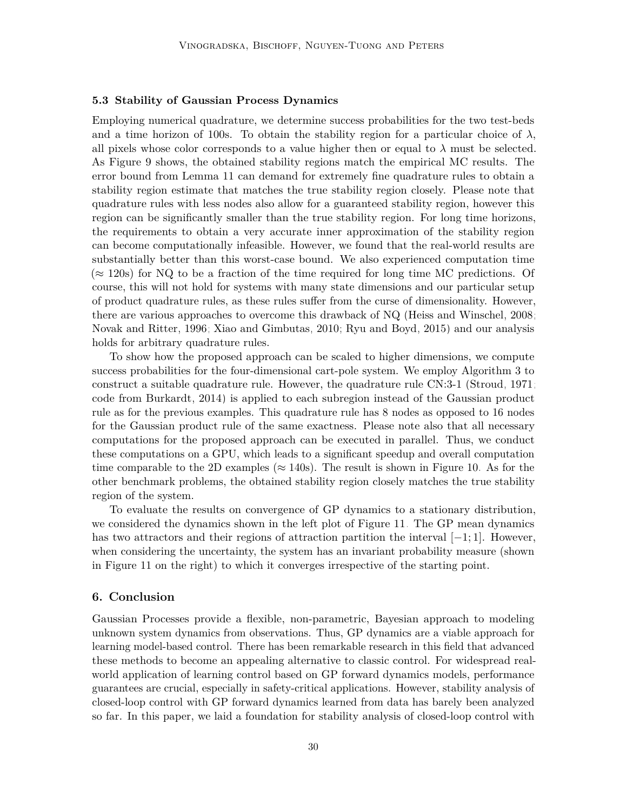## **5.3 Stability of Gaussian Process Dynamics**

Employing numerical quadrature, we determine success probabilities for the two test-beds and a time horizon of 100s. To obtain the stability region for a particular choice of  $\lambda$ , all pixels whose color corresponds to a value higher then or equal to  $\lambda$  must be selected. As Figure [9](#page-28-0) shows, the obtained stability regions match the empirical MC results. The error bound from Lemma [11](#page-16-1) can demand for extremely fine quadrature rules to obtain a stability region estimate that matches the true stability region closely. Please note that quadrature rules with less nodes also allow for a guaranteed stability region, however this region can be significantly smaller than the true stability region. For long time horizons, the requirements to obtain a very accurate inner approximation of the stability region can become computationally infeasible. However, we found that the real-world results are substantially better than this worst-case bound. We also experienced computation time  $(\approx 120s)$  for NQ to be a fraction of the time required for long time MC predictions. Of course, this will not hold for systems with many state dimensions and our particular setup of product quadrature rules, as these rules suffer from the curse of dimensionality. However, there are various approaches to overcome this drawback of NQ [\(Heiss and Winschel, 2008;](#page-33-14) [Novak and Ritter, 1996;](#page-35-13) [Xiao and Gimbutas, 2010;](#page-36-9) [Ryu and Boyd, 2015\)](#page-35-14) and our analysis holds for arbitrary quadrature rules.

To show how the proposed approach can be scaled to higher dimensions, we compute success probabilities for the four-dimensional cart-pole system. We employ Algorithm [3](#page-19-0) to construct a suitable quadrature rule. However, the quadrature rule CN:3-1 [\(Stroud, 1971;](#page-36-10) code from [Burkardt, 2014\)](#page-33-15) is applied to each subregion instead of the Gaussian product rule as for the previous examples. This quadrature rule has 8 nodes as opposed to 16 nodes for the Gaussian product rule of the same exactness. Please note also that all necessary computations for the proposed approach can be executed in parallel. Thus, we conduct these computations on a GPU, which leads to a significant speedup and overall computation time comparable to the 2D examples ( $\approx$  140s). The result is shown in Figure [10.](#page-30-0) As for the other benchmark problems, the obtained stability region closely matches the true stability region of the system.

To evaluate the results on convergence of GP dynamics to a stationary distribution, we considered the dynamics shown in the left plot of Figure [11.](#page-31-0) The GP mean dynamics has two attractors and their regions of attraction partition the interval [−1; 1]. However, when considering the uncertainty, the system has an invariant probability measure (shown in Figure [11](#page-31-0) on the right) to which it converges irrespective of the starting point.

## <span id="page-29-0"></span>**6. Conclusion**

Gaussian Processes provide a flexible, non-parametric, Bayesian approach to modeling unknown system dynamics from observations. Thus, GP dynamics are a viable approach for learning model-based control. There has been remarkable research in this field that advanced these methods to become an appealing alternative to classic control. For widespread realworld application of learning control based on GP forward dynamics models, performance guarantees are crucial, especially in safety-critical applications. However, stability analysis of closed-loop control with GP forward dynamics learned from data has barely been analyzed so far. In this paper, we laid a foundation for stability analysis of closed-loop control with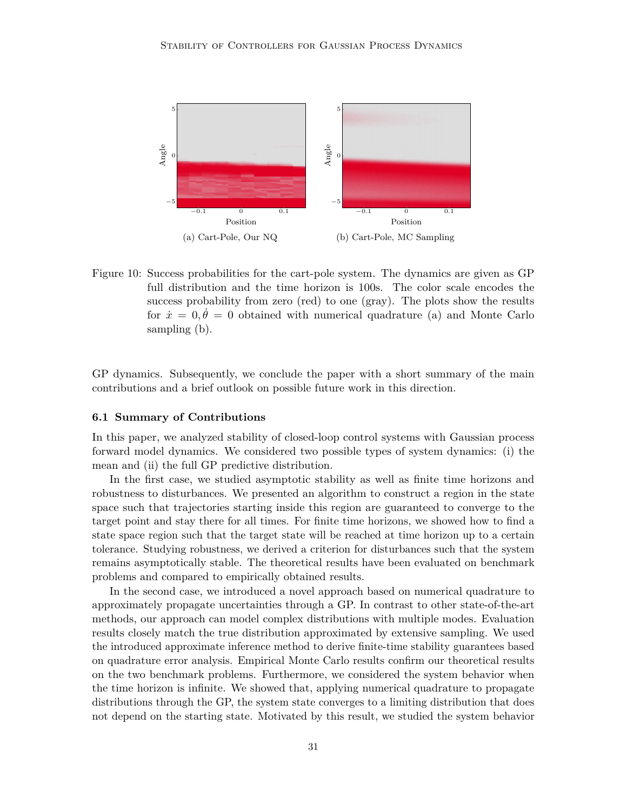<span id="page-30-0"></span>

Figure 10: Success probabilities for the cart-pole system. The dynamics are given as GP full distribution and the time horizon is 100s. The color scale encodes the success probability from zero (red) to one (gray). The plots show the results for  $\dot{x} = 0, \dot{\theta} = 0$  obtained with numerical quadrature (a) and Monte Carlo sampling (b).

GP dynamics. Subsequently, we conclude the paper with a short summary of the main contributions and a brief outlook on possible future work in this direction.

#### **6.1 Summary of Contributions**

In this paper, we analyzed stability of closed-loop control systems with Gaussian process forward model dynamics. We considered two possible types of system dynamics: (i) the mean and (ii) the full GP predictive distribution.

In the first case, we studied asymptotic stability as well as finite time horizons and robustness to disturbances. We presented an algorithm to construct a region in the state space such that trajectories starting inside this region are guaranteed to converge to the target point and stay there for all times. For finite time horizons, we showed how to find a state space region such that the target state will be reached at time horizon up to a certain tolerance. Studying robustness, we derived a criterion for disturbances such that the system remains asymptotically stable. The theoretical results have been evaluated on benchmark problems and compared to empirically obtained results.

In the second case, we introduced a novel approach based on numerical quadrature to approximately propagate uncertainties through a GP. In contrast to other state-of-the-art methods, our approach can model complex distributions with multiple modes. Evaluation results closely match the true distribution approximated by extensive sampling. We used the introduced approximate inference method to derive finite-time stability guarantees based on quadrature error analysis. Empirical Monte Carlo results confirm our theoretical results on the two benchmark problems. Furthermore, we considered the system behavior when the time horizon is infinite. We showed that, applying numerical quadrature to propagate distributions through the GP, the system state converges to a limiting distribution that does not depend on the starting state. Motivated by this result, we studied the system behavior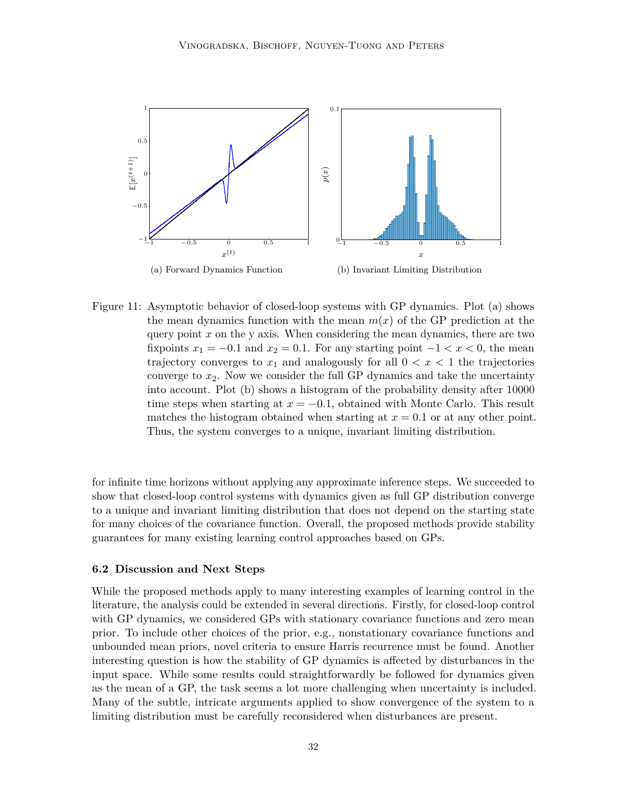<span id="page-31-0"></span>

Figure 11: Asymptotic behavior of closed-loop systems with GP dynamics. Plot (a) shows the mean dynamics function with the mean  $m(x)$  of the GP prediction at the query point *x* on the y axis. When considering the mean dynamics, there are two fixpoints  $x_1 = -0.1$  and  $x_2 = 0.1$ . For any starting point  $-1 < x < 0$ , the mean trajectory converges to  $x_1$  and analogously for all  $0 < x < 1$  the trajectories converge to  $x_2$ . Now we consider the full GP dynamics and take the uncertainty into account. Plot (b) shows a histogram of the probability density after 10000 time steps when starting at  $x = -0.1$ , obtained with Monte Carlo. This result matches the histogram obtained when starting at *x* = 0*.*1 or at any other point. Thus, the system converges to a unique, invariant limiting distribution.

for infinite time horizons without applying any approximate inference steps. We succeeded to show that closed-loop control systems with dynamics given as full GP distribution converge to a unique and invariant limiting distribution that does not depend on the starting state for many choices of the covariance function. Overall, the proposed methods provide stability guarantees for many existing learning control approaches based on GPs.

#### **6.2 Discussion and Next Steps**

While the proposed methods apply to many interesting examples of learning control in the literature, the analysis could be extended in several directions. Firstly, for closed-loop control with GP dynamics, we considered GPs with stationary covariance functions and zero mean prior. To include other choices of the prior, e.g., nonstationary covariance functions and unbounded mean priors, novel criteria to ensure Harris recurrence must be found. Another interesting question is how the stability of GP dynamics is affected by disturbances in the input space. While some results could straightforwardly be followed for dynamics given as the mean of a GP, the task seems a lot more challenging when uncertainty is included. Many of the subtle, intricate arguments applied to show convergence of the system to a limiting distribution must be carefully reconsidered when disturbances are present.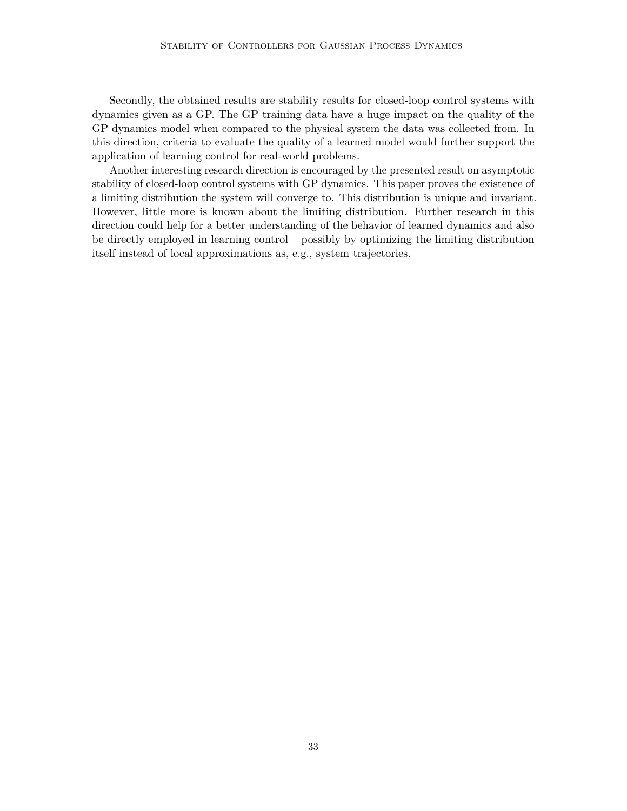Secondly, the obtained results are stability results for closed-loop control systems with dynamics given as a GP. The GP training data have a huge impact on the quality of the GP dynamics model when compared to the physical system the data was collected from. In this direction, criteria to evaluate the quality of a learned model would further support the application of learning control for real-world problems.

Another interesting research direction is encouraged by the presented result on asymptotic stability of closed-loop control systems with GP dynamics. This paper proves the existence of a limiting distribution the system will converge to. This distribution is unique and invariant. However, little more is known about the limiting distribution. Further research in this direction could help for a better understanding of the behavior of learned dynamics and also be directly employed in learning control – possibly by optimizing the limiting distribution itself instead of local approximations as, e.g., system trajectories.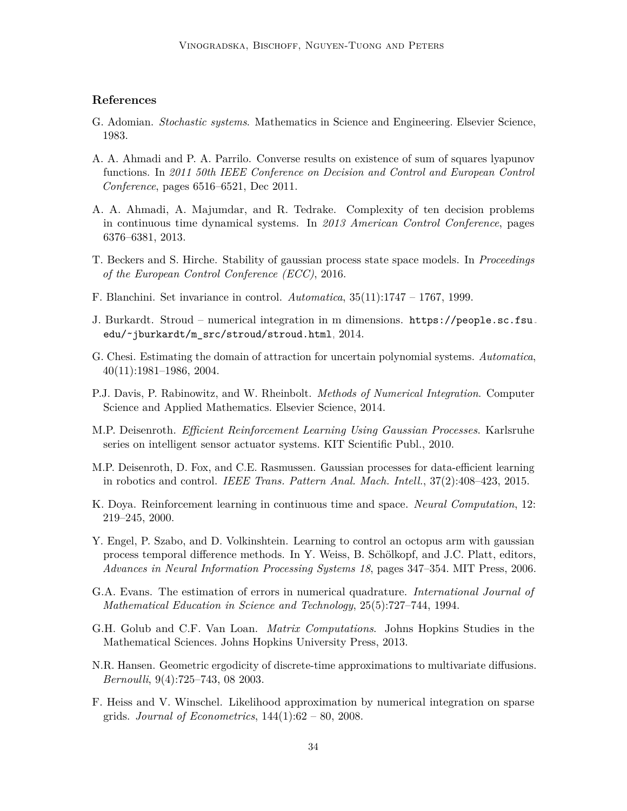# **References**

- <span id="page-33-5"></span>G. Adomian. *Stochastic systems*. Mathematics in Science and Engineering. Elsevier Science, 1983.
- <span id="page-33-4"></span>A. A. Ahmadi and P. A. Parrilo. Converse results on existence of sum of squares lyapunov functions. In *2011 50th IEEE Conference on Decision and Control and European Control Conference*, pages 6516–6521, Dec 2011.
- <span id="page-33-7"></span>A. A. Ahmadi, A. Majumdar, and R. Tedrake. Complexity of ten decision problems in continuous time dynamical systems. In *2013 American Control Conference*, pages 6376–6381, 2013.
- <span id="page-33-2"></span>T. Beckers and S. Hirche. Stability of gaussian process state space models. In *Proceedings of the European Control Conference (ECC)*, 2016.
- <span id="page-33-6"></span>F. Blanchini. Set invariance in control. *Automatica*, 35(11):1747 – 1767, 1999.
- <span id="page-33-15"></span>J. Burkardt. Stroud – numerical integration in m dimensions. [https://people.sc.fsu.](https://people.sc.fsu.edu/~jburkardt/m_src/stroud/stroud.html) [edu/˜jburkardt/m\\_src/stroud/stroud.html](https://people.sc.fsu.edu/~jburkardt/m_src/stroud/stroud.html), 2014.
- <span id="page-33-3"></span>G. Chesi. Estimating the domain of attraction for uncertain polynomial systems. *Automatica*, 40(11):1981–1986, 2004.
- <span id="page-33-8"></span>P.J. Davis, P. Rabinowitz, and W. Rheinbolt. *Methods of Numerical Integration*. Computer Science and Applied Mathematics. Elsevier Science, 2014.
- <span id="page-33-13"></span>M.P. Deisenroth. *Efficient Reinforcement Learning Using Gaussian Processes*. Karlsruhe series on intelligent sensor actuator systems. KIT Scientific Publ., 2010.
- <span id="page-33-0"></span>M.P. Deisenroth, D. Fox, and C.E. Rasmussen. Gaussian processes for data-efficient learning in robotics and control. *IEEE Trans. Pattern Anal. Mach. Intell.*, 37(2):408–423, 2015.
- <span id="page-33-12"></span>K. Doya. Reinforcement learning in continuous time and space. *Neural Computation*, 12: 219–245, 2000.
- <span id="page-33-1"></span>Y. Engel, P. Szabo, and D. Volkinshtein. Learning to control an octopus arm with gaussian process temporal difference methods. In Y. Weiss, B. Schölkopf, and J.C. Platt, editors, *Advances in Neural Information Processing Systems 18*, pages 347–354. MIT Press, 2006.
- <span id="page-33-9"></span>G.A. Evans. The estimation of errors in numerical quadrature. *International Journal of Mathematical Education in Science and Technology*, 25(5):727–744, 1994.
- <span id="page-33-10"></span>G.H. Golub and C.F. Van Loan. *Matrix Computations*. Johns Hopkins Studies in the Mathematical Sciences. Johns Hopkins University Press, 2013.
- <span id="page-33-11"></span>N.R. Hansen. Geometric ergodicity of discrete-time approximations to multivariate diffusions. *Bernoulli*, 9(4):725–743, 08 2003.
- <span id="page-33-14"></span>F. Heiss and V. Winschel. Likelihood approximation by numerical integration on sparse grids. *Journal of Econometrics*, 144(1):62 – 80, 2008.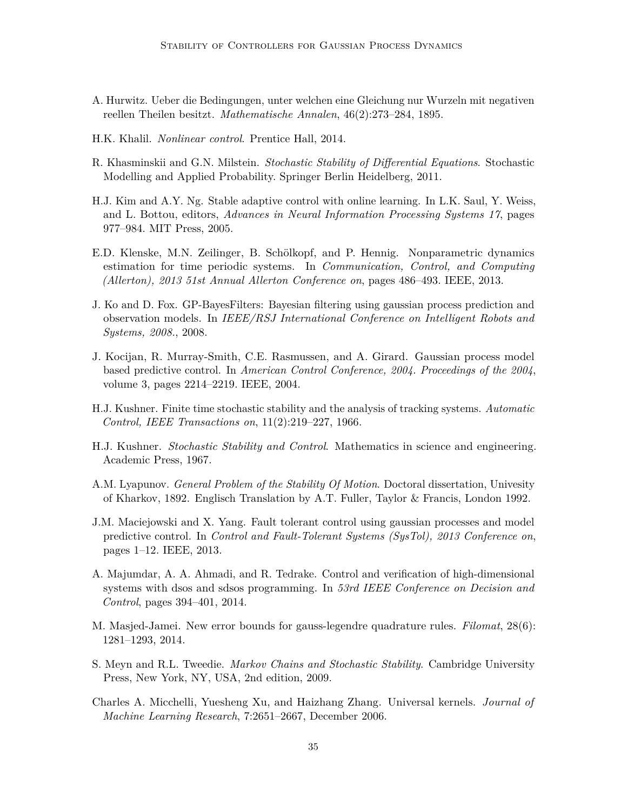- <span id="page-34-7"></span>A. Hurwitz. Ueber die Bedingungen, unter welchen eine Gleichung nur Wurzeln mit negativen reellen Theilen besitzt. *Mathematische Annalen*, 46(2):273–284, 1895.
- <span id="page-34-3"></span>H.K. Khalil. *Nonlinear control*. Prentice Hall, 2014.
- <span id="page-34-4"></span>R. Khasminskii and G.N. Milstein. *Stochastic Stability of Differential Equations*. Stochastic Modelling and Applied Probability. Springer Berlin Heidelberg, 2011.
- <span id="page-34-6"></span>H.J. Kim and A.Y. Ng. Stable adaptive control with online learning. In L.K. Saul, Y. Weiss, and L. Bottou, editors, *Advances in Neural Information Processing Systems 17*, pages 977–984. MIT Press, 2005.
- <span id="page-34-0"></span>E.D. Klenske, M.N. Zeilinger, B. Schölkopf, and P. Hennig. Nonparametric dynamics estimation for time periodic systems. In *Communication, Control, and Computing (Allerton), 2013 51st Annual Allerton Conference on*, pages 486–493. IEEE, 2013.
- <span id="page-34-12"></span>J. Ko and D. Fox. GP-BayesFilters: Bayesian filtering using gaussian process prediction and observation models. In *IEEE/RSJ International Conference on Intelligent Robots and Systems, 2008.*, 2008.
- <span id="page-34-2"></span>J. Kocijan, R. Murray-Smith, C.E. Rasmussen, and A. Girard. Gaussian process model based predictive control. In *American Control Conference, 2004. Proceedings of the 2004*, volume 3, pages 2214–2219. IEEE, 2004.
- <span id="page-34-10"></span>H.J. Kushner. Finite time stochastic stability and the analysis of tracking systems. *Automatic Control, IEEE Transactions on*, 11(2):219–227, 1966.
- <span id="page-34-5"></span>H.J. Kushner. *Stochastic Stability and Control*. Mathematics in science and engineering. Academic Press, 1967.
- <span id="page-34-8"></span>A.M. Lyapunov. *General Problem of the Stability Of Motion*. Doctoral dissertation, Univesity of Kharkov, 1892. Englisch Translation by A.T. Fuller, Taylor & Francis, London 1992.
- <span id="page-34-1"></span>J.M. Maciejowski and X. Yang. Fault tolerant control using gaussian processes and model predictive control. In *Control and Fault-Tolerant Systems (SysTol), 2013 Conference on*, pages 1–12. IEEE, 2013.
- <span id="page-34-9"></span>A. Majumdar, A. A. Ahmadi, and R. Tedrake. Control and verification of high-dimensional systems with dsos and sdsos programming. In *53rd IEEE Conference on Decision and Control*, pages 394–401, 2014.
- <span id="page-34-13"></span>M. Masjed-Jamei. New error bounds for gauss-legendre quadrature rules. *Filomat*, 28(6): 1281–1293, 2014.
- <span id="page-34-14"></span>S. Meyn and R.L. Tweedie. *Markov Chains and Stochastic Stability*. Cambridge University Press, New York, NY, USA, 2nd edition, 2009.
- <span id="page-34-11"></span>Charles A. Micchelli, Yuesheng Xu, and Haizhang Zhang. Universal kernels. *Journal of Machine Learning Research*, 7:2651–2667, December 2006.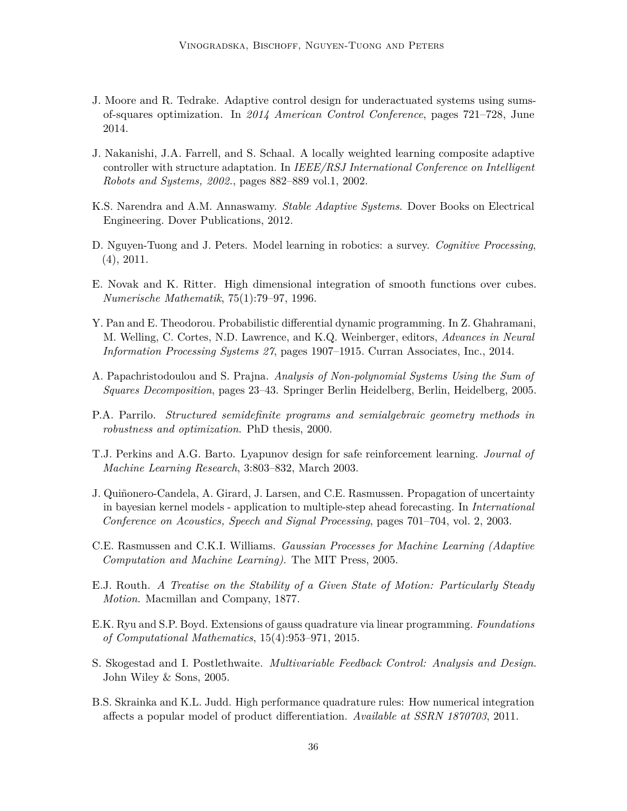- <span id="page-35-7"></span>J. Moore and R. Tedrake. Adaptive control design for underactuated systems using sumsof-squares optimization. In *2014 American Control Conference*, pages 721–728, June 2014.
- <span id="page-35-4"></span>J. Nakanishi, J.A. Farrell, and S. Schaal. A locally weighted learning composite adaptive controller with structure adaptation. In *IEEE/RSJ International Conference on Intelligent Robots and Systems, 2002.*, pages 882–889 vol.1, 2002.
- <span id="page-35-9"></span>K.S. Narendra and A.M. Annaswamy. *Stable Adaptive Systems*. Dover Books on Electrical Engineering. Dover Publications, 2012.
- <span id="page-35-1"></span>D. Nguyen-Tuong and J. Peters. Model learning in robotics: a survey. *Cognitive Processing*, (4), 2011.
- <span id="page-35-13"></span>E. Novak and K. Ritter. High dimensional integration of smooth functions over cubes. *Numerische Mathematik*, 75(1):79–97, 1996.
- <span id="page-35-0"></span>Y. Pan and E. Theodorou. Probabilistic differential dynamic programming. In Z. Ghahramani, M. Welling, C. Cortes, N.D. Lawrence, and K.Q. Weinberger, editors, *Advances in Neural Information Processing Systems 27*, pages 1907–1915. Curran Associates, Inc., 2014.
- <span id="page-35-8"></span>A. Papachristodoulou and S. Prajna. *Analysis of Non-polynomial Systems Using the Sum of Squares Decomposition*, pages 23–43. Springer Berlin Heidelberg, Berlin, Heidelberg, 2005.
- <span id="page-35-6"></span>P.A. Parrilo. *Structured semidefinite programs and semialgebraic geometry methods in robustness and optimization*. PhD thesis, 2000.
- <span id="page-35-3"></span>T.J. Perkins and A.G. Barto. Lyapunov design for safe reinforcement learning. *Journal of Machine Learning Research*, 3:803–832, March 2003.
- <span id="page-35-12"></span>J. Quiñonero-Candela, A. Girard, J. Larsen, and C.E. Rasmussen. Propagation of uncertainty in bayesian kernel models - application to multiple-step ahead forecasting. In *International Conference on Acoustics, Speech and Signal Processing*, pages 701–704, vol. 2, 2003.
- <span id="page-35-10"></span>C.E. Rasmussen and C.K.I. Williams. *Gaussian Processes for Machine Learning (Adaptive Computation and Machine Learning)*. The MIT Press, 2005.
- <span id="page-35-5"></span>E.J. Routh. *A Treatise on the Stability of a Given State of Motion: Particularly Steady Motion*. Macmillan and Company, 1877.
- <span id="page-35-14"></span>E.K. Ryu and S.P. Boyd. Extensions of gauss quadrature via linear programming. *Foundations of Computational Mathematics*, 15(4):953–971, 2015.
- <span id="page-35-2"></span>S. Skogestad and I. Postlethwaite. *Multivariable Feedback Control: Analysis and Design*. John Wiley & Sons, 2005.
- <span id="page-35-11"></span>B.S. Skrainka and K.L. Judd. High performance quadrature rules: How numerical integration affects a popular model of product differentiation. *Available at SSRN 1870703*, 2011.